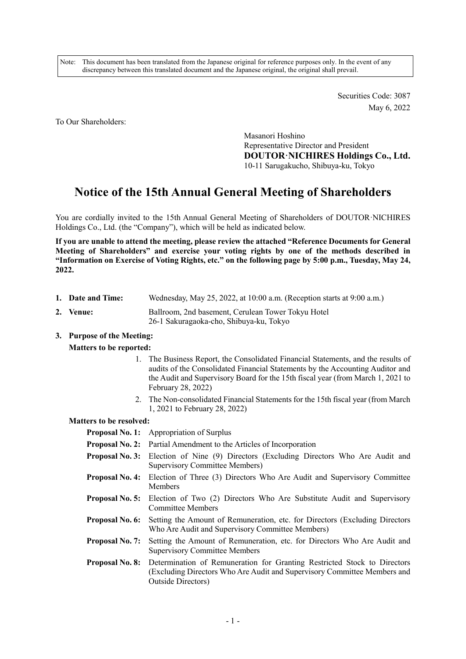Note: This document has been translated from the Japanese original for reference purposes only. In the event of any discrepancy between this translated document and the Japanese original, the original shall prevail.

> Securities Code: 3087 May 6, 2022

To Our Shareholders:

Masanori Hoshino Representative Director and President **DOUTOR·NICHIRES Holdings Co., Ltd.**  10-11 Sarugakucho, Shibuya-ku, Tokyo

# **Notice of the 15th Annual General Meeting of Shareholders**

You are cordially invited to the 15th Annual General Meeting of Shareholders of DOUTOR·NICHIRES Holdings Co., Ltd. (the "Company"), which will be held as indicated below.

**If you are unable to attend the meeting, please review the attached "Reference Documents for General Meeting of Shareholders" and exercise your voting rights by one of the methods described in "Information on Exercise of Voting Rights, etc." on the following page by 5:00 p.m., Tuesday, May 24, 2022.** 

- **1. Date and Time:** Wednesday, May 25, 2022, at 10:00 a.m. (Reception starts at 9:00 a.m.)
- **2. Venue:** Ballroom, 2nd basement, Cerulean Tower Tokyu Hotel 26-1 Sakuragaoka-cho, Shibuya-ku, Tokyo

## **3. Purpose of the Meeting:**

### **Matters to be reported:**

- 1. The Business Report, the Consolidated Financial Statements, and the results of audits of the Consolidated Financial Statements by the Accounting Auditor and the Audit and Supervisory Board for the 15th fiscal year (from March 1, 2021 to February 28, 2022)
- 2. The Non-consolidated Financial Statements for the 15th fiscal year (from March 1, 2021 to February 28, 2022)

#### **Matters to be resolved:**

**Proposal No. 1:** Appropriation of Surplus

- **Proposal No. 2:** Partial Amendment to the Articles of Incorporation
- **Proposal No. 3:** Election of Nine (9) Directors (Excluding Directors Who Are Audit and Supervisory Committee Members)
- **Proposal No. 4:** Election of Three (3) Directors Who Are Audit and Supervisory Committee Members
- **Proposal No. 5:** Election of Two (2) Directors Who Are Substitute Audit and Supervisory Committee Members
- **Proposal No. 6:** Setting the Amount of Remuneration, etc. for Directors (Excluding Directors Who Are Audit and Supervisory Committee Members)
- **Proposal No. 7:** Setting the Amount of Remuneration, etc. for Directors Who Are Audit and Supervisory Committee Members
- **Proposal No. 8:** Determination of Remuneration for Granting Restricted Stock to Directors (Excluding Directors Who Are Audit and Supervisory Committee Members and Outside Directors)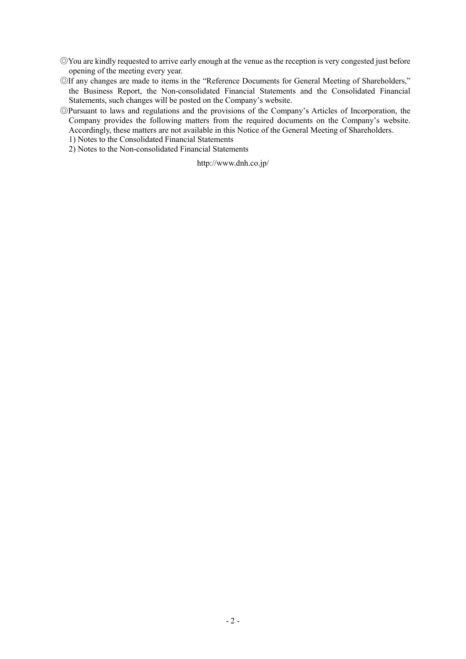- ◎You are kindly requested to arrive early enough at the venue as the reception is very congested just before opening of the meeting every year.
- ◎If any changes are made to items in the "Reference Documents for General Meeting of Shareholders," the Business Report, the Non-consolidated Financial Statements and the Consolidated Financial Statements, such changes will be posted on the Company's website.
- ◎Pursuant to laws and regulations and the provisions of the Company's Articles of Incorporation, the Company provides the following matters from the required documents on the Company's website. Accordingly, these matters are not available in this Notice of the General Meeting of Shareholders.
	- 1) Notes to the Consolidated Financial Statements
	- 2) Notes to the Non-consolidated Financial Statements

http://www.dnh.co.jp/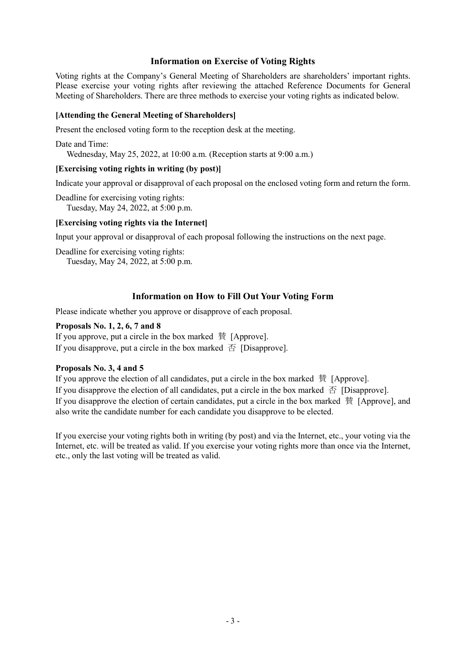## **Information on Exercise of Voting Rights**

Voting rights at the Company's General Meeting of Shareholders are shareholders' important rights. Please exercise your voting rights after reviewing the attached Reference Documents for General Meeting of Shareholders. There are three methods to exercise your voting rights as indicated below.

### **[Attending the General Meeting of Shareholders]**

Present the enclosed voting form to the reception desk at the meeting.

Date and Time: Wednesday, May 25, 2022, at 10:00 a.m. (Reception starts at 9:00 a.m.)

## **[Exercising voting rights in writing (by post)]**

Indicate your approval or disapproval of each proposal on the enclosed voting form and return the form.

Deadline for exercising voting rights: Tuesday, May 24, 2022, at 5:00 p.m.

## **[Exercising voting rights via the Internet]**

Input your approval or disapproval of each proposal following the instructions on the next page.

Deadline for exercising voting rights: Tuesday, May 24, 2022, at 5:00 p.m.

## **Information on How to Fill Out Your Voting Form**

Please indicate whether you approve or disapprove of each proposal.

### **Proposals No. 1, 2, 6, 7 and 8**

If you approve, put a circle in the box marked 賛 [Approve]. If you disapprove, put a circle in the box marked  $\overline{A}$  [Disapprove].

### **Proposals No. 3, 4 and 5**

If you approve the election of all candidates, put a circle in the box marked 賛 [Approve]. If you disapprove the election of all candidates, put a circle in the box marked  $\overline{\oplus}$  [Disapprove]. If you disapprove the election of certain candidates, put a circle in the box marked 賛 [Approve], and also write the candidate number for each candidate you disapprove to be elected.

If you exercise your voting rights both in writing (by post) and via the Internet, etc., your voting via the Internet, etc. will be treated as valid. If you exercise your voting rights more than once via the Internet, etc., only the last voting will be treated as valid.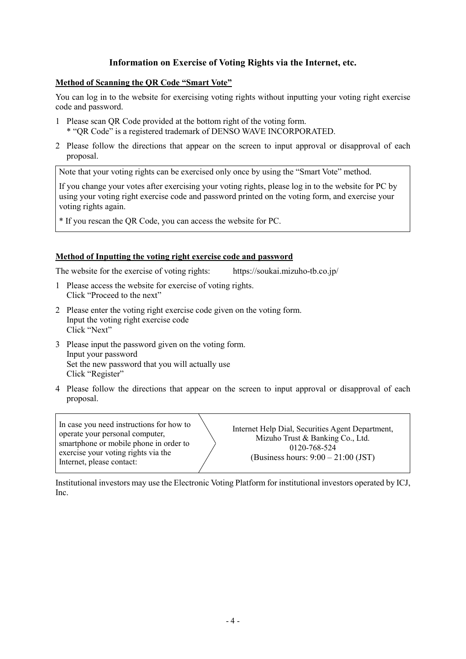## **Information on Exercise of Voting Rights via the Internet, etc.**

### **Method of Scanning the QR Code "Smart Vote"**

You can log in to the website for exercising voting rights without inputting your voting right exercise code and password.

- 1 Please scan QR Code provided at the bottom right of the voting form. \* "QR Code" is a registered trademark of DENSO WAVE INCORPORATED.
- 2 Please follow the directions that appear on the screen to input approval or disapproval of each proposal.

Note that your voting rights can be exercised only once by using the "Smart Vote" method.

If you change your votes after exercising your voting rights, please log in to the website for PC by using your voting right exercise code and password printed on the voting form, and exercise your voting rights again.

\* If you rescan the QR Code, you can access the website for PC.

### **Method of Inputting the voting right exercise code and password**

The website for the exercise of voting rights: https://soukai.mizuho-tb.co.jp/

- 1 Please access the website for exercise of voting rights. Click "Proceed to the next"
- 2 Please enter the voting right exercise code given on the voting form. Input the voting right exercise code Click "Next"
- 3 Please input the password given on the voting form. Input your password Set the new password that you will actually use Click "Register"
- 4 Please follow the directions that appear on the screen to input approval or disapproval of each proposal.

In case you need instructions for how to operate your personal computer, smartphone or mobile phone in order to exercise your voting rights via the Internet, please contact:

Internet Help Dial, Securities Agent Department, Mizuho Trust & Banking Co., Ltd. 0120-768-524 (Business hours: 9:00 – 21:00 (JST)

Institutional investors may use the Electronic Voting Platform for institutional investors operated by ICJ, Inc.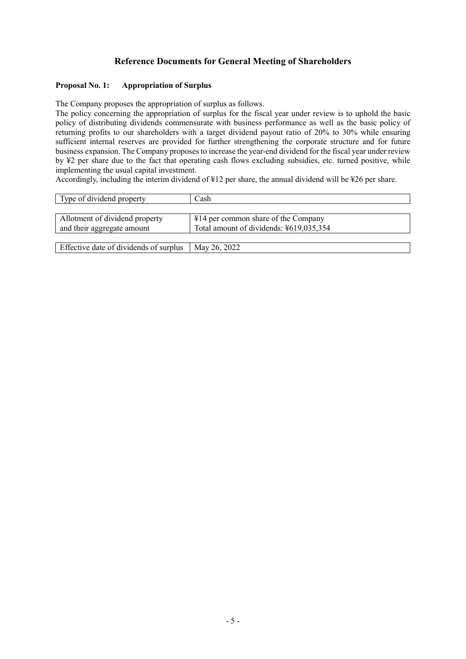## **Reference Documents for General Meeting of Shareholders**

### **Proposal No. 1: Appropriation of Surplus**

The Company proposes the appropriation of surplus as follows.

The policy concerning the appropriation of surplus for the fiscal year under review is to uphold the basic policy of distributing dividends commensurate with business performance as well as the basic policy of returning profits to our shareholders with a target dividend payout ratio of 20% to 30% while ensuring sufficient internal reserves are provided for further strengthening the corporate structure and for future business expansion. The Company proposes to increase the year-end dividend for the fiscal year under review by ¥2 per share due to the fact that operating cash flows excluding subsidies, etc. turned positive, while implementing the usual capital investment.

Accordingly, including the interim dividend of ¥12 per share, the annual dividend will be ¥26 per share.

| Type of dividend property              | Cash                                    |
|----------------------------------------|-----------------------------------------|
|                                        |                                         |
| Allotment of dividend property         | ¥14 per common share of the Company     |
| and their aggregate amount             | Total amount of dividends: ¥619,035,354 |
|                                        |                                         |
| Effective date of dividends of surplus | May 26, 2022                            |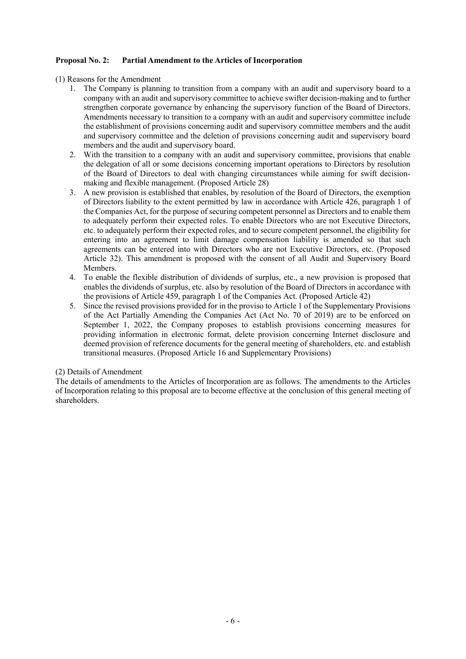### **Proposal No. 2: Partial Amendment to the Articles of Incorporation**

- (1) Reasons for the Amendment
	- 1. The Company is planning to transition from a company with an audit and supervisory board to a company with an audit and supervisory committee to achieve swifter decision-making and to further strengthen corporate governance by enhancing the supervisory function of the Board of Directors. Amendments necessary to transition to a company with an audit and supervisory committee include the establishment of provisions concerning audit and supervisory committee members and the audit and supervisory committee and the deletion of provisions concerning audit and supervisory board members and the audit and supervisory board.
	- 2. With the transition to a company with an audit and supervisory committee, provisions that enable the delegation of all or some decisions concerning important operations to Directors by resolution of the Board of Directors to deal with changing circumstances while aiming for swift decisionmaking and flexible management. (Proposed Article 28)
	- 3. A new provision is established that enables, by resolution of the Board of Directors, the exemption of Directors liability to the extent permitted by law in accordance with Article 426, paragraph 1 of the Companies Act, for the purpose of securing competent personnel as Directors and to enable them to adequately perform their expected roles. To enable Directors who are not Executive Directors, etc. to adequately perform their expected roles, and to secure competent personnel, the eligibility for entering into an agreement to limit damage compensation liability is amended so that such agreements can be entered into with Directors who are not Executive Directors, etc. (Proposed Article 32). This amendment is proposed with the consent of all Audit and Supervisory Board Members.
	- 4. To enable the flexible distribution of dividends of surplus, etc., a new provision is proposed that enables the dividends of surplus, etc. also by resolution of the Board of Directors in accordance with the provisions of Article 459, paragraph 1 of the Companies Act. (Proposed Article 42)
	- 5. Since the revised provisions provided for in the proviso to Article 1 of the Supplementary Provisions of the Act Partially Amending the Companies Act (Act No. 70 of 2019) are to be enforced on September 1, 2022, the Company proposes to establish provisions concerning measures for providing information in electronic format, delete provision concerning Internet disclosure and deemed provision of reference documents for the general meeting of shareholders, etc. and establish transitional measures. (Proposed Article 16 and Supplementary Provisions)

### (2) Details of Amendment

The details of amendments to the Articles of Incorporation are as follows. The amendments to the Articles of Incorporation relating to this proposal are to become effective at the conclusion of this general meeting of shareholders.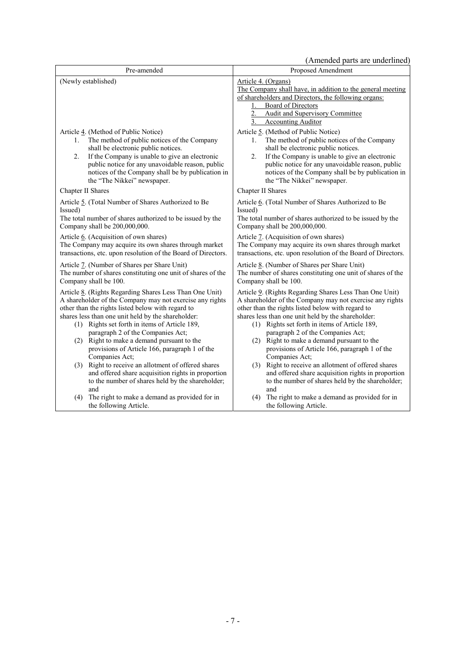(Amended parts are underlined)

|                                                                                                                                                                                                                                                                                                                                                                                                                                                                                                 | (Amended parts are underlined)                                                                                                                                                                                                                                                                                                                                                                                                                                                               |
|-------------------------------------------------------------------------------------------------------------------------------------------------------------------------------------------------------------------------------------------------------------------------------------------------------------------------------------------------------------------------------------------------------------------------------------------------------------------------------------------------|----------------------------------------------------------------------------------------------------------------------------------------------------------------------------------------------------------------------------------------------------------------------------------------------------------------------------------------------------------------------------------------------------------------------------------------------------------------------------------------------|
| Pre-amended                                                                                                                                                                                                                                                                                                                                                                                                                                                                                     | Proposed Amendment                                                                                                                                                                                                                                                                                                                                                                                                                                                                           |
| (Newly established)                                                                                                                                                                                                                                                                                                                                                                                                                                                                             | Article 4. (Organs)<br>The Company shall have, in addition to the general meeting<br>of shareholders and Directors, the following organs:<br><b>Board of Directors</b><br>1.<br>2.<br><b>Audit and Supervisory Committee</b><br><b>Accounting Auditor</b><br>3.                                                                                                                                                                                                                              |
| Article 4. (Method of Public Notice)                                                                                                                                                                                                                                                                                                                                                                                                                                                            | Article 5. (Method of Public Notice)                                                                                                                                                                                                                                                                                                                                                                                                                                                         |
| The method of public notices of the Company                                                                                                                                                                                                                                                                                                                                                                                                                                                     | The method of public notices of the Company                                                                                                                                                                                                                                                                                                                                                                                                                                                  |
| 1.                                                                                                                                                                                                                                                                                                                                                                                                                                                                                              | 1.                                                                                                                                                                                                                                                                                                                                                                                                                                                                                           |
| shall be electronic public notices.                                                                                                                                                                                                                                                                                                                                                                                                                                                             | shall be electronic public notices.                                                                                                                                                                                                                                                                                                                                                                                                                                                          |
| If the Company is unable to give an electronic                                                                                                                                                                                                                                                                                                                                                                                                                                                  | If the Company is unable to give an electronic                                                                                                                                                                                                                                                                                                                                                                                                                                               |
| 2.                                                                                                                                                                                                                                                                                                                                                                                                                                                                                              | 2.                                                                                                                                                                                                                                                                                                                                                                                                                                                                                           |
| public notice for any unavoidable reason, public                                                                                                                                                                                                                                                                                                                                                                                                                                                | public notice for any unavoidable reason, public                                                                                                                                                                                                                                                                                                                                                                                                                                             |
| notices of the Company shall be by publication in                                                                                                                                                                                                                                                                                                                                                                                                                                               | notices of the Company shall be by publication in                                                                                                                                                                                                                                                                                                                                                                                                                                            |
| the "The Nikkei" newspaper.                                                                                                                                                                                                                                                                                                                                                                                                                                                                     | the "The Nikkei" newspaper.                                                                                                                                                                                                                                                                                                                                                                                                                                                                  |
| Chapter II Shares                                                                                                                                                                                                                                                                                                                                                                                                                                                                               | Chapter II Shares                                                                                                                                                                                                                                                                                                                                                                                                                                                                            |
| Article 5. (Total Number of Shares Authorized to Be                                                                                                                                                                                                                                                                                                                                                                                                                                             | Article 6. (Total Number of Shares Authorized to Be                                                                                                                                                                                                                                                                                                                                                                                                                                          |
| Issued)                                                                                                                                                                                                                                                                                                                                                                                                                                                                                         | Issued)                                                                                                                                                                                                                                                                                                                                                                                                                                                                                      |
| The total number of shares authorized to be issued by the                                                                                                                                                                                                                                                                                                                                                                                                                                       | The total number of shares authorized to be issued by the                                                                                                                                                                                                                                                                                                                                                                                                                                    |
| Company shall be 200,000,000.                                                                                                                                                                                                                                                                                                                                                                                                                                                                   | Company shall be 200,000,000.                                                                                                                                                                                                                                                                                                                                                                                                                                                                |
| Article 6. (Acquisition of own shares)                                                                                                                                                                                                                                                                                                                                                                                                                                                          | Article 7. (Acquisition of own shares)                                                                                                                                                                                                                                                                                                                                                                                                                                                       |
| The Company may acquire its own shares through market                                                                                                                                                                                                                                                                                                                                                                                                                                           | The Company may acquire its own shares through market                                                                                                                                                                                                                                                                                                                                                                                                                                        |
| transactions, etc. upon resolution of the Board of Directors.                                                                                                                                                                                                                                                                                                                                                                                                                                   | transactions, etc. upon resolution of the Board of Directors.                                                                                                                                                                                                                                                                                                                                                                                                                                |
| Article 7. (Number of Shares per Share Unit)                                                                                                                                                                                                                                                                                                                                                                                                                                                    | Article 8. (Number of Shares per Share Unit)                                                                                                                                                                                                                                                                                                                                                                                                                                                 |
| The number of shares constituting one unit of shares of the                                                                                                                                                                                                                                                                                                                                                                                                                                     | The number of shares constituting one unit of shares of the                                                                                                                                                                                                                                                                                                                                                                                                                                  |
| Company shall be 100.                                                                                                                                                                                                                                                                                                                                                                                                                                                                           | Company shall be 100.                                                                                                                                                                                                                                                                                                                                                                                                                                                                        |
| Article 8. (Rights Regarding Shares Less Than One Unit)<br>A shareholder of the Company may not exercise any rights<br>other than the rights listed below with regard to<br>shares less than one unit held by the shareholder:<br>(1) Rights set forth in items of Article 189,<br>paragraph 2 of the Companies Act;<br>(2) Right to make a demand pursuant to the<br>provisions of Article 166, paragraph 1 of the<br>Companies Act;<br>Right to receive an allotment of offered shares<br>(3) | Article 9. (Rights Regarding Shares Less Than One Unit)<br>A shareholder of the Company may not exercise any rights<br>other than the rights listed below with regard to<br>shares less than one unit held by the shareholder:<br>(1) Rights set forth in items of Article 189,<br>paragraph 2 of the Companies Act;<br>(2) Right to make a demand pursuant to the<br>provisions of Article 166, paragraph 1 of the<br>Companies Act;<br>(3) Right to receive an allotment of offered shares |
| and offered share acquisition rights in proportion                                                                                                                                                                                                                                                                                                                                                                                                                                              | and offered share acquisition rights in proportion                                                                                                                                                                                                                                                                                                                                                                                                                                           |
| to the number of shares held by the shareholder;                                                                                                                                                                                                                                                                                                                                                                                                                                                | to the number of shares held by the shareholder;                                                                                                                                                                                                                                                                                                                                                                                                                                             |
| and                                                                                                                                                                                                                                                                                                                                                                                                                                                                                             | and                                                                                                                                                                                                                                                                                                                                                                                                                                                                                          |
| The right to make a demand as provided for in                                                                                                                                                                                                                                                                                                                                                                                                                                                   | The right to make a demand as provided for in                                                                                                                                                                                                                                                                                                                                                                                                                                                |
| (4)                                                                                                                                                                                                                                                                                                                                                                                                                                                                                             | (4)                                                                                                                                                                                                                                                                                                                                                                                                                                                                                          |
| the following Article.                                                                                                                                                                                                                                                                                                                                                                                                                                                                          | the following Article.                                                                                                                                                                                                                                                                                                                                                                                                                                                                       |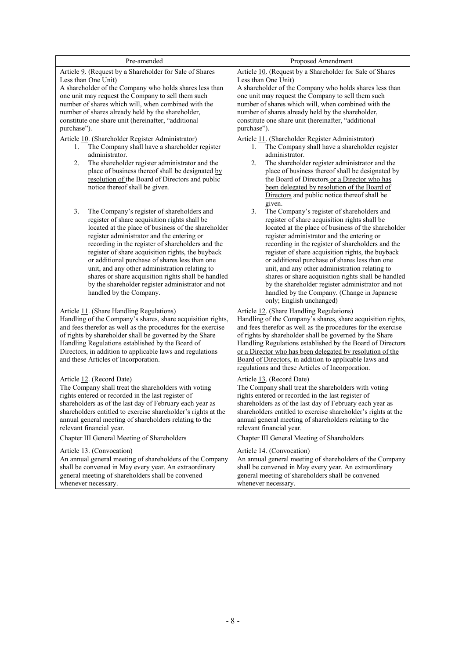| Pre-amended                                                                                                                 | Proposed Amendment                                                                                                          |
|-----------------------------------------------------------------------------------------------------------------------------|-----------------------------------------------------------------------------------------------------------------------------|
| Article 9. (Request by a Shareholder for Sale of Shares                                                                     | Article 10. (Request by a Shareholder for Sale of Shares                                                                    |
| Less than One Unit)                                                                                                         | Less than One Unit)                                                                                                         |
| A shareholder of the Company who holds shares less than                                                                     | A shareholder of the Company who holds shares less than                                                                     |
| one unit may request the Company to sell them such                                                                          | one unit may request the Company to sell them such                                                                          |
| number of shares which will, when combined with the                                                                         | number of shares which will, when combined with the                                                                         |
| number of shares already held by the shareholder,                                                                           | number of shares already held by the shareholder,                                                                           |
| constitute one share unit (hereinafter, "additional<br>purchase").                                                          | constitute one share unit (hereinafter, "additional<br>purchase").                                                          |
|                                                                                                                             |                                                                                                                             |
| Article 10. (Shareholder Register Administrator)<br>The Company shall have a shareholder register                           | Article 11. (Shareholder Register Administrator)                                                                            |
| 1.<br>administrator.                                                                                                        | The Company shall have a shareholder register<br>1.<br>administrator.                                                       |
| 2.<br>The shareholder register administrator and the                                                                        | 2.<br>The shareholder register administrator and the                                                                        |
| place of business thereof shall be designated by                                                                            | place of business thereof shall be designated by                                                                            |
| resolution of the Board of Directors and public                                                                             | the Board of Directors or a Director who has                                                                                |
| notice thereof shall be given.                                                                                              | been delegated by resolution of the Board of                                                                                |
|                                                                                                                             | Directors and public notice thereof shall be                                                                                |
|                                                                                                                             | given.                                                                                                                      |
| 3.<br>The Company's register of shareholders and                                                                            | 3.<br>The Company's register of shareholders and                                                                            |
| register of share acquisition rights shall be<br>located at the place of business of the shareholder                        | register of share acquisition rights shall be<br>located at the place of business of the shareholder                        |
| register administrator and the entering or                                                                                  | register administrator and the entering or                                                                                  |
| recording in the register of shareholders and the                                                                           | recording in the register of shareholders and the                                                                           |
| register of share acquisition rights, the buyback                                                                           | register of share acquisition rights, the buyback                                                                           |
| or additional purchase of shares less than one                                                                              | or additional purchase of shares less than one                                                                              |
| unit, and any other administration relating to                                                                              | unit, and any other administration relating to                                                                              |
| shares or share acquisition rights shall be handled                                                                         | shares or share acquisition rights shall be handled                                                                         |
| by the shareholder register administrator and not                                                                           | by the shareholder register administrator and not                                                                           |
| handled by the Company.                                                                                                     | handled by the Company. (Change in Japanese                                                                                 |
|                                                                                                                             | only; English unchanged)                                                                                                    |
| Article 11. (Share Handling Regulations)                                                                                    | Article 12. (Share Handling Regulations)                                                                                    |
| Handling of the Company's shares, share acquisition rights,<br>and fees therefor as well as the procedures for the exercise | Handling of the Company's shares, share acquisition rights,<br>and fees therefor as well as the procedures for the exercise |
| of rights by shareholder shall be governed by the Share                                                                     | of rights by shareholder shall be governed by the Share                                                                     |
| Handling Regulations established by the Board of                                                                            | Handling Regulations established by the Board of Directors                                                                  |
| Directors, in addition to applicable laws and regulations                                                                   | or a Director who has been delegated by resolution of the                                                                   |
| and these Articles of Incorporation.                                                                                        | Board of Directors, in addition to applicable laws and                                                                      |
|                                                                                                                             | regulations and these Articles of Incorporation.                                                                            |
| Article 12. (Record Date)                                                                                                   | Article 13. (Record Date)                                                                                                   |
| The Company shall treat the shareholders with voting                                                                        | The Company shall treat the shareholders with voting                                                                        |
| rights entered or recorded in the last register of                                                                          | rights entered or recorded in the last register of                                                                          |
| shareholders as of the last day of February each year as                                                                    | shareholders as of the last day of February each year as                                                                    |
| shareholders entitled to exercise shareholder's rights at the                                                               | shareholders entitled to exercise shareholder's rights at the                                                               |
| annual general meeting of shareholders relating to the                                                                      | annual general meeting of shareholders relating to the                                                                      |
| relevant financial year.                                                                                                    | relevant financial year.                                                                                                    |
| Chapter III General Meeting of Shareholders                                                                                 | Chapter III General Meeting of Shareholders                                                                                 |
| Article 13. (Convocation)                                                                                                   | Article 14. (Convocation)                                                                                                   |
| An annual general meeting of shareholders of the Company                                                                    | An annual general meeting of shareholders of the Company                                                                    |
| shall be convened in May every year. An extraordinary                                                                       | shall be convened in May every year. An extraordinary                                                                       |
| general meeting of shareholders shall be convened                                                                           | general meeting of shareholders shall be convened                                                                           |
| whenever necessary.                                                                                                         | whenever necessary.                                                                                                         |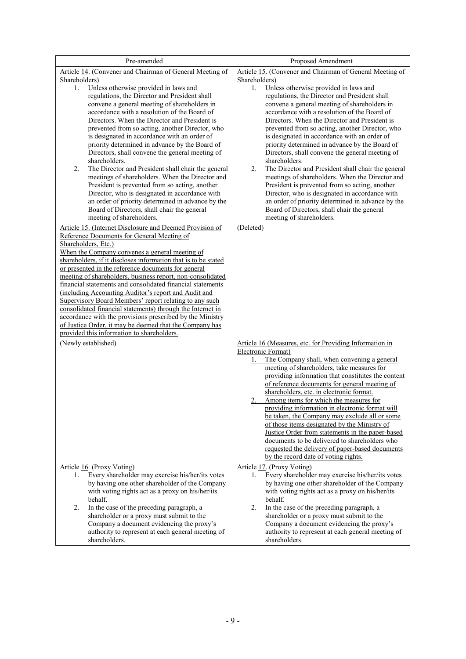| Pre-amended                                                                                                                                                                                                                                                                                                                                                                                                                                                                                                                                                                                                                                                                                                                                                                                   | Proposed Amendment                                                                                                                                                                                                                                                                                                                                                                                                                                                                                                                                                                                                                                                                                                                                                                            |
|-----------------------------------------------------------------------------------------------------------------------------------------------------------------------------------------------------------------------------------------------------------------------------------------------------------------------------------------------------------------------------------------------------------------------------------------------------------------------------------------------------------------------------------------------------------------------------------------------------------------------------------------------------------------------------------------------------------------------------------------------------------------------------------------------|-----------------------------------------------------------------------------------------------------------------------------------------------------------------------------------------------------------------------------------------------------------------------------------------------------------------------------------------------------------------------------------------------------------------------------------------------------------------------------------------------------------------------------------------------------------------------------------------------------------------------------------------------------------------------------------------------------------------------------------------------------------------------------------------------|
| Article 14. (Convener and Chairman of General Meeting of                                                                                                                                                                                                                                                                                                                                                                                                                                                                                                                                                                                                                                                                                                                                      | Article 15. (Convener and Chairman of General Meeting of                                                                                                                                                                                                                                                                                                                                                                                                                                                                                                                                                                                                                                                                                                                                      |
| Shareholders)                                                                                                                                                                                                                                                                                                                                                                                                                                                                                                                                                                                                                                                                                                                                                                                 | Shareholders)                                                                                                                                                                                                                                                                                                                                                                                                                                                                                                                                                                                                                                                                                                                                                                                 |
| Unless otherwise provided in laws and<br>1.<br>regulations, the Director and President shall<br>convene a general meeting of shareholders in<br>accordance with a resolution of the Board of<br>Directors. When the Director and President is<br>prevented from so acting, another Director, who<br>is designated in accordance with an order of<br>priority determined in advance by the Board of<br>Directors, shall convene the general meeting of<br>shareholders.<br>The Director and President shall chair the general<br>2.<br>meetings of shareholders. When the Director and<br>President is prevented from so acting, another<br>Director, who is designated in accordance with<br>an order of priority determined in advance by the<br>Board of Directors, shall chair the general | Unless otherwise provided in laws and<br>1.<br>regulations, the Director and President shall<br>convene a general meeting of shareholders in<br>accordance with a resolution of the Board of<br>Directors. When the Director and President is<br>prevented from so acting, another Director, who<br>is designated in accordance with an order of<br>priority determined in advance by the Board of<br>Directors, shall convene the general meeting of<br>shareholders.<br>The Director and President shall chair the general<br>2.<br>meetings of shareholders. When the Director and<br>President is prevented from so acting, another<br>Director, who is designated in accordance with<br>an order of priority determined in advance by the<br>Board of Directors, shall chair the general |
| meeting of shareholders.                                                                                                                                                                                                                                                                                                                                                                                                                                                                                                                                                                                                                                                                                                                                                                      | meeting of shareholders.                                                                                                                                                                                                                                                                                                                                                                                                                                                                                                                                                                                                                                                                                                                                                                      |
| Article 15. (Internet Disclosure and Deemed Provision of<br>Reference Documents for General Meeting of<br>Shareholders, Etc.)<br>When the Company convenes a general meeting of<br>shareholders, if it discloses information that is to be stated<br>or presented in the reference documents for general<br>meeting of shareholders, business report, non-consolidated<br>financial statements and consolidated financial statements<br>(including Accounting Auditor's report and Audit and<br>Supervisory Board Members' report relating to any such<br>consolidated financial statements) through the Internet in<br>accordance with the provisions prescribed by the Ministry<br>of Justice Order, it may be deemed that the Company has<br>provided this information to shareholders.    | (Deleted)                                                                                                                                                                                                                                                                                                                                                                                                                                                                                                                                                                                                                                                                                                                                                                                     |
| (Newly established)                                                                                                                                                                                                                                                                                                                                                                                                                                                                                                                                                                                                                                                                                                                                                                           | Article 16 (Measures, etc. for Providing Information in                                                                                                                                                                                                                                                                                                                                                                                                                                                                                                                                                                                                                                                                                                                                       |
|                                                                                                                                                                                                                                                                                                                                                                                                                                                                                                                                                                                                                                                                                                                                                                                               | Electronic Format)<br>The Company shall, when convening a general<br>1.<br>meeting of shareholders, take measures for<br>providing information that constitutes the content<br>of reference documents for general meeting of<br>shareholders, etc. in electronic format.<br>2. Among items for which the measures for<br>providing information in electronic format will<br>be taken, the Company may exclude all or some<br>of those items designated by the Ministry of<br>Justice Order from statements in the paper-based<br>documents to be delivered to shareholders who<br>requested the delivery of paper-based documents<br>by the record date of voting rights.                                                                                                                     |
| Article 16. (Proxy Voting)                                                                                                                                                                                                                                                                                                                                                                                                                                                                                                                                                                                                                                                                                                                                                                    | Article 17. (Proxy Voting)                                                                                                                                                                                                                                                                                                                                                                                                                                                                                                                                                                                                                                                                                                                                                                    |
| Every shareholder may exercise his/her/its votes<br>1.<br>by having one other shareholder of the Company<br>with voting rights act as a proxy on his/her/its<br>behalf.<br>2.<br>In the case of the preceding paragraph, a<br>shareholder or a proxy must submit to the<br>Company a document evidencing the proxy's<br>authority to represent at each general meeting of<br>shareholders.                                                                                                                                                                                                                                                                                                                                                                                                    | Every shareholder may exercise his/her/its votes<br>1.<br>by having one other shareholder of the Company<br>with voting rights act as a proxy on his/her/its<br>behalf.<br>2.<br>In the case of the preceding paragraph, a<br>shareholder or a proxy must submit to the<br>Company a document evidencing the proxy's<br>authority to represent at each general meeting of<br>shareholders.                                                                                                                                                                                                                                                                                                                                                                                                    |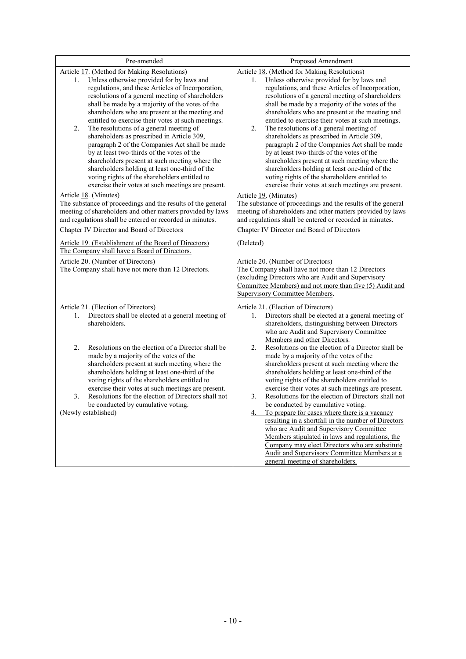| Pre-amended                                                                                                                                                                                                                                                                                                                                                                                                      | Proposed Amendment                                                                                                                                                                                                                                                                                                                                                                                               |
|------------------------------------------------------------------------------------------------------------------------------------------------------------------------------------------------------------------------------------------------------------------------------------------------------------------------------------------------------------------------------------------------------------------|------------------------------------------------------------------------------------------------------------------------------------------------------------------------------------------------------------------------------------------------------------------------------------------------------------------------------------------------------------------------------------------------------------------|
| Article 17. (Method for Making Resolutions)<br>Unless otherwise provided for by laws and<br>1.<br>regulations, and these Articles of Incorporation,<br>resolutions of a general meeting of shareholders<br>shall be made by a majority of the votes of the<br>shareholders who are present at the meeting and<br>entitled to exercise their votes at such meetings.                                              | Article 18. (Method for Making Resolutions)<br>Unless otherwise provided for by laws and<br>1.<br>regulations, and these Articles of Incorporation,<br>resolutions of a general meeting of shareholders<br>shall be made by a majority of the votes of the<br>shareholders who are present at the meeting and<br>entitled to exercise their votes at such meetings.                                              |
| The resolutions of a general meeting of<br>2.<br>shareholders as prescribed in Article 309,<br>paragraph 2 of the Companies Act shall be made<br>by at least two-thirds of the votes of the<br>shareholders present at such meeting where the<br>shareholders holding at least one-third of the<br>voting rights of the shareholders entitled to<br>exercise their votes at such meetings are present.           | The resolutions of a general meeting of<br>2.<br>shareholders as prescribed in Article 309,<br>paragraph 2 of the Companies Act shall be made<br>by at least two-thirds of the votes of the<br>shareholders present at such meeting where the<br>shareholders holding at least one-third of the<br>voting rights of the shareholders entitled to<br>exercise their votes at such meetings are present.           |
| Article 18. (Minutes)<br>The substance of proceedings and the results of the general<br>meeting of shareholders and other matters provided by laws<br>and regulations shall be entered or recorded in minutes.                                                                                                                                                                                                   | Article 19. (Minutes)<br>The substance of proceedings and the results of the general<br>meeting of shareholders and other matters provided by laws<br>and regulations shall be entered or recorded in minutes.                                                                                                                                                                                                   |
| Chapter IV Director and Board of Directors                                                                                                                                                                                                                                                                                                                                                                       | Chapter IV Director and Board of Directors                                                                                                                                                                                                                                                                                                                                                                       |
| Article 19. (Establishment of the Board of Directors)<br>The Company shall have a Board of Directors.                                                                                                                                                                                                                                                                                                            | (Deleted)                                                                                                                                                                                                                                                                                                                                                                                                        |
| Article 20. (Number of Directors)<br>The Company shall have not more than 12 Directors.                                                                                                                                                                                                                                                                                                                          | Article 20. (Number of Directors)<br>The Company shall have not more than 12 Directors<br>(excluding Directors who are Audit and Supervisory<br>Committee Members) and not more than five (5) Audit and<br><b>Supervisory Committee Members.</b>                                                                                                                                                                 |
| Article 21. (Election of Directors)<br>Directors shall be elected at a general meeting of<br>1.<br>shareholders.                                                                                                                                                                                                                                                                                                 | Article 21. (Election of Directors)<br>Directors shall be elected at a general meeting of<br>1.<br>shareholders, distinguishing between Directors<br>who are Audit and Supervisory Committee<br>Members and other Directors.                                                                                                                                                                                     |
| Resolutions on the election of a Director shall be<br>2.<br>made by a majority of the votes of the<br>shareholders present at such meeting where the<br>shareholders holding at least one-third of the<br>voting rights of the shareholders entitled to<br>exercise their votes at such meetings are present.<br>Resolutions for the election of Directors shall not<br>3.<br>be conducted by cumulative voting. | Resolutions on the election of a Director shall be<br>2.<br>made by a majority of the votes of the<br>shareholders present at such meeting where the<br>shareholders holding at least one-third of the<br>voting rights of the shareholders entitled to<br>exercise their votes at such meetings are present.<br>Resolutions for the election of Directors shall not<br>3.<br>be conducted by cumulative voting. |
| (Newly established)                                                                                                                                                                                                                                                                                                                                                                                              | To prepare for cases where there is a vacancy<br>4.<br>resulting in a shortfall in the number of Directors<br>who are Audit and Supervisory Committee<br>Members stipulated in laws and regulations, the<br>Company may elect Directors who are substitute<br>Audit and Supervisory Committee Members at a<br>general meeting of shareholders.                                                                   |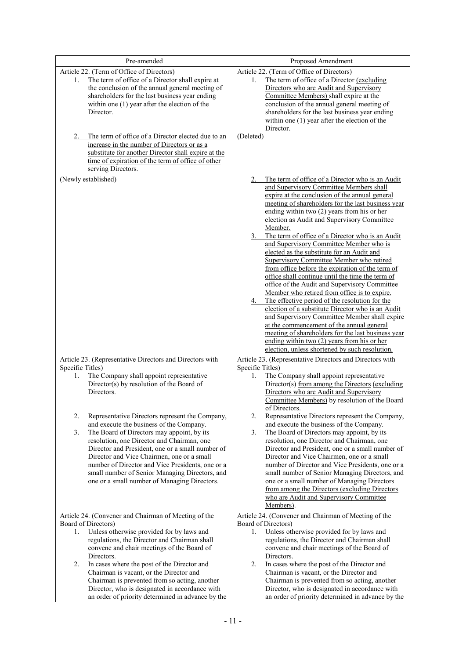| Pre-amended                                                                                                                                                                                                                                                                                                                                                                                                                                                                                        | Proposed Amendment                                                                                                                                                                                                                                                                                                                                                                                                                                                                                                                                                                                                                                                                                                                                                                                                                                                                                                                                                                                                                                                                 |
|----------------------------------------------------------------------------------------------------------------------------------------------------------------------------------------------------------------------------------------------------------------------------------------------------------------------------------------------------------------------------------------------------------------------------------------------------------------------------------------------------|------------------------------------------------------------------------------------------------------------------------------------------------------------------------------------------------------------------------------------------------------------------------------------------------------------------------------------------------------------------------------------------------------------------------------------------------------------------------------------------------------------------------------------------------------------------------------------------------------------------------------------------------------------------------------------------------------------------------------------------------------------------------------------------------------------------------------------------------------------------------------------------------------------------------------------------------------------------------------------------------------------------------------------------------------------------------------------|
| Article 22. (Term of Office of Directors)<br>The term of office of a Director shall expire at<br>1.<br>the conclusion of the annual general meeting of<br>shareholders for the last business year ending<br>within one $(1)$ year after the election of the<br>Director.<br>The term of office of a Director elected due to an<br>2.                                                                                                                                                               | Article 22. (Term of Office of Directors)<br>The term of office of a Director (excluding<br>1.<br>Directors who are Audit and Supervisory<br>Committee Members) shall expire at the<br>conclusion of the annual general meeting of<br>shareholders for the last business year ending<br>within one $(1)$ year after the election of the<br>Director.<br>(Deleted)                                                                                                                                                                                                                                                                                                                                                                                                                                                                                                                                                                                                                                                                                                                  |
| increase in the number of Directors or as a<br>substitute for another Director shall expire at the<br>time of expiration of the term of office of other<br>serving Directors.                                                                                                                                                                                                                                                                                                                      |                                                                                                                                                                                                                                                                                                                                                                                                                                                                                                                                                                                                                                                                                                                                                                                                                                                                                                                                                                                                                                                                                    |
| (Newly established)                                                                                                                                                                                                                                                                                                                                                                                                                                                                                | The term of office of a Director who is an Audit<br>2.<br>and Supervisory Committee Members shall<br>expire at the conclusion of the annual general<br>meeting of shareholders for the last business year<br>ending within two $(2)$ years from his or her<br>election as Audit and Supervisory Committee<br>Member.<br>The term of office of a Director who is an Audit<br>and Supervisory Committee Member who is<br>elected as the substitute for an Audit and<br>Supervisory Committee Member who retired<br>from office before the expiration of the term of<br>office shall continue until the time the term of<br>office of the Audit and Supervisory Committee<br>Member who retired from office is to expire.<br>The effective period of the resolution for the<br>election of a substitute Director who is an Audit<br>and Supervisory Committee Member shall expire<br>at the commencement of the annual general<br>meeting of shareholders for the last business year<br>ending within two (2) years from his or her<br>election, unless shortened by such resolution. |
| Article 23. (Representative Directors and Directors with<br>Specific Titles)<br>The Company shall appoint representative<br>1.<br>Director(s) by resolution of the Board of<br>Directors.                                                                                                                                                                                                                                                                                                          | Article 23. (Representative Directors and Directors with<br>Specific Titles)<br>The Company shall appoint representative<br>1.<br>Director(s) from among the Directors (excluding<br>Directors who are Audit and Supervisory<br>Committee Members) by resolution of the Board<br>of Directors.                                                                                                                                                                                                                                                                                                                                                                                                                                                                                                                                                                                                                                                                                                                                                                                     |
| 2.<br>Representative Directors represent the Company,<br>and execute the business of the Company.<br>3.<br>The Board of Directors may appoint, by its<br>resolution, one Director and Chairman, one<br>Director and President, one or a small number of<br>Director and Vice Chairmen, one or a small<br>number of Director and Vice Presidents, one or a<br>small number of Senior Managing Directors, and<br>one or a small number of Managing Directors.                                        | 2.<br>Representative Directors represent the Company,<br>and execute the business of the Company.<br>3.<br>The Board of Directors may appoint, by its<br>resolution, one Director and Chairman, one<br>Director and President, one or a small number of<br>Director and Vice Chairmen, one or a small<br>number of Director and Vice Presidents, one or a<br>small number of Senior Managing Directors, and<br>one or a small number of Managing Directors<br>from among the Directors (excluding Directors)<br>who are Audit and Supervisory Committee<br>Members).                                                                                                                                                                                                                                                                                                                                                                                                                                                                                                               |
| Article 24. (Convener and Chairman of Meeting of the<br>Board of Directors)<br>Unless otherwise provided for by laws and<br>1.<br>regulations, the Director and Chairman shall<br>convene and chair meetings of the Board of<br>Directors.<br>2.<br>In cases where the post of the Director and<br>Chairman is vacant, or the Director and<br>Chairman is prevented from so acting, another<br>Director, who is designated in accordance with<br>an order of priority determined in advance by the | Article 24. (Convener and Chairman of Meeting of the<br>Board of Directors)<br>Unless otherwise provided for by laws and<br>1.<br>regulations, the Director and Chairman shall<br>convene and chair meetings of the Board of<br>Directors.<br>2.<br>In cases where the post of the Director and<br>Chairman is vacant, or the Director and<br>Chairman is prevented from so acting, another<br>Director, who is designated in accordance with<br>an order of priority determined in advance by the                                                                                                                                                                                                                                                                                                                                                                                                                                                                                                                                                                                 |
|                                                                                                                                                                                                                                                                                                                                                                                                                                                                                                    | $-11-$                                                                                                                                                                                                                                                                                                                                                                                                                                                                                                                                                                                                                                                                                                                                                                                                                                                                                                                                                                                                                                                                             |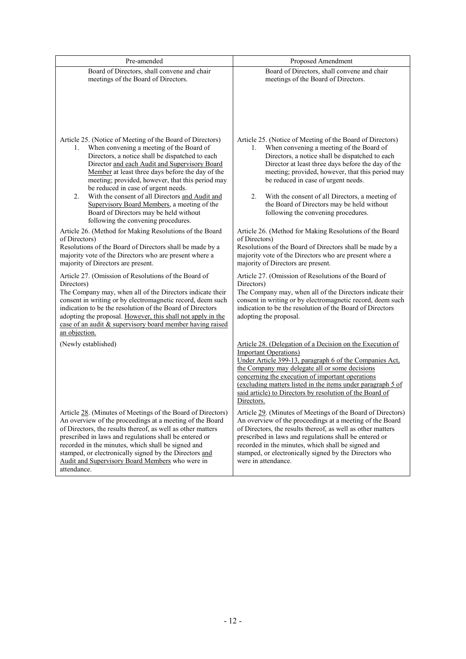| Pre-amended                                                                                                                                                                                                                                                                                                                                                                                                                                                                                                                                                                                                                                                                                                                                                                                                                                                                                                                                                                                      | Proposed Amendment                                                                                                                                                                                                                                                                                                                                                                                                                                                                                                                                                                                                                                                                                                                                                                                                                                                                                     |
|--------------------------------------------------------------------------------------------------------------------------------------------------------------------------------------------------------------------------------------------------------------------------------------------------------------------------------------------------------------------------------------------------------------------------------------------------------------------------------------------------------------------------------------------------------------------------------------------------------------------------------------------------------------------------------------------------------------------------------------------------------------------------------------------------------------------------------------------------------------------------------------------------------------------------------------------------------------------------------------------------|--------------------------------------------------------------------------------------------------------------------------------------------------------------------------------------------------------------------------------------------------------------------------------------------------------------------------------------------------------------------------------------------------------------------------------------------------------------------------------------------------------------------------------------------------------------------------------------------------------------------------------------------------------------------------------------------------------------------------------------------------------------------------------------------------------------------------------------------------------------------------------------------------------|
| Board of Directors, shall convene and chair<br>meetings of the Board of Directors.                                                                                                                                                                                                                                                                                                                                                                                                                                                                                                                                                                                                                                                                                                                                                                                                                                                                                                               | Board of Directors, shall convene and chair<br>meetings of the Board of Directors.                                                                                                                                                                                                                                                                                                                                                                                                                                                                                                                                                                                                                                                                                                                                                                                                                     |
| Article 25. (Notice of Meeting of the Board of Directors)<br>When convening a meeting of the Board of<br>1.<br>Directors, a notice shall be dispatched to each<br>Director and each Audit and Supervisory Board<br>Member at least three days before the day of the<br>meeting; provided, however, that this period may<br>be reduced in case of urgent needs.<br>2.<br>With the consent of all Directors and Audit and<br>Supervisory Board Members, a meeting of the<br>Board of Directors may be held without<br>following the convening procedures.<br>Article 26. (Method for Making Resolutions of the Board<br>of Directors)<br>Resolutions of the Board of Directors shall be made by a<br>majority vote of the Directors who are present where a<br>majority of Directors are present.<br>Article 27. (Omission of Resolutions of the Board of<br>Directors)<br>The Company may, when all of the Directors indicate their<br>consent in writing or by electromagnetic record, deem such | Article 25. (Notice of Meeting of the Board of Directors)<br>When convening a meeting of the Board of<br>1.<br>Directors, a notice shall be dispatched to each<br>Director at least three days before the day of the<br>meeting; provided, however, that this period may<br>be reduced in case of urgent needs.<br>2.<br>With the consent of all Directors, a meeting of<br>the Board of Directors may be held without<br>following the convening procedures.<br>Article 26. (Method for Making Resolutions of the Board<br>of Directors)<br>Resolutions of the Board of Directors shall be made by a<br>majority vote of the Directors who are present where a<br>majority of Directors are present.<br>Article 27. (Omission of Resolutions of the Board of<br>Directors)<br>The Company may, when all of the Directors indicate their<br>consent in writing or by electromagnetic record, deem such |
| indication to be the resolution of the Board of Directors<br>adopting the proposal. However, this shall not apply in the<br>case of an audit & supervisory board member having raised<br>an objection.                                                                                                                                                                                                                                                                                                                                                                                                                                                                                                                                                                                                                                                                                                                                                                                           | indication to be the resolution of the Board of Directors<br>adopting the proposal.                                                                                                                                                                                                                                                                                                                                                                                                                                                                                                                                                                                                                                                                                                                                                                                                                    |
| (Newly established)                                                                                                                                                                                                                                                                                                                                                                                                                                                                                                                                                                                                                                                                                                                                                                                                                                                                                                                                                                              | Article 28. (Delegation of a Decision on the Execution of<br><b>Important Operations</b> )<br>Under Article 399-13, paragraph 6 of the Companies Act,<br>the Company may delegate all or some decisions<br>concerning the execution of important operations<br>(excluding matters listed in the items under paragraph 5 of<br>said article) to Directors by resolution of the Board of<br>Directors.                                                                                                                                                                                                                                                                                                                                                                                                                                                                                                   |
| Article 28. (Minutes of Meetings of the Board of Directors)<br>An overview of the proceedings at a meeting of the Board<br>of Directors, the results thereof, as well as other matters<br>prescribed in laws and regulations shall be entered or<br>recorded in the minutes, which shall be signed and<br>stamped, or electronically signed by the Directors and<br>Audit and Supervisory Board Members who were in<br>attendance.                                                                                                                                                                                                                                                                                                                                                                                                                                                                                                                                                               | Article 29. (Minutes of Meetings of the Board of Directors)<br>An overview of the proceedings at a meeting of the Board<br>of Directors, the results thereof, as well as other matters<br>prescribed in laws and regulations shall be entered or<br>recorded in the minutes, which shall be signed and<br>stamped, or electronically signed by the Directors who<br>were in attendance.                                                                                                                                                                                                                                                                                                                                                                                                                                                                                                                |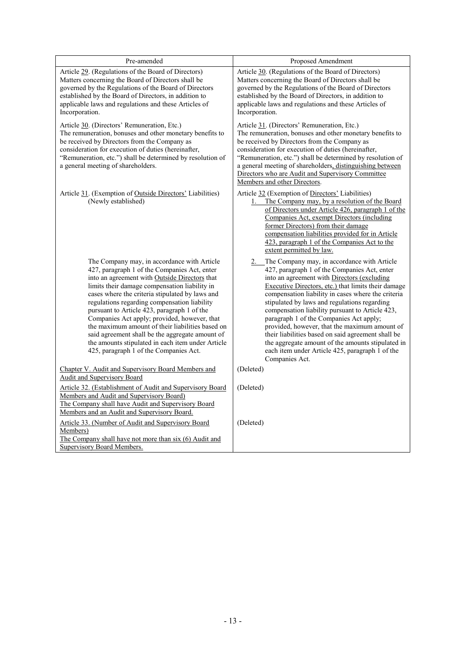| Pre-amended                                                                                                                                                                                                                                                                                                                                                                                                                                                                                                                                                                                           | Proposed Amendment                                                                                                                                                                                                                                                                                                                                                                                                                                                                                                                                                                                                                        |
|-------------------------------------------------------------------------------------------------------------------------------------------------------------------------------------------------------------------------------------------------------------------------------------------------------------------------------------------------------------------------------------------------------------------------------------------------------------------------------------------------------------------------------------------------------------------------------------------------------|-------------------------------------------------------------------------------------------------------------------------------------------------------------------------------------------------------------------------------------------------------------------------------------------------------------------------------------------------------------------------------------------------------------------------------------------------------------------------------------------------------------------------------------------------------------------------------------------------------------------------------------------|
| Article 29. (Regulations of the Board of Directors)<br>Matters concerning the Board of Directors shall be<br>governed by the Regulations of the Board of Directors<br>established by the Board of Directors, in addition to<br>applicable laws and regulations and these Articles of<br>Incorporation.                                                                                                                                                                                                                                                                                                | Article 30. (Regulations of the Board of Directors)<br>Matters concerning the Board of Directors shall be<br>governed by the Regulations of the Board of Directors<br>established by the Board of Directors, in addition to<br>applicable laws and regulations and these Articles of<br>Incorporation.                                                                                                                                                                                                                                                                                                                                    |
| Article 30. (Directors' Remuneration, Etc.)<br>The remuneration, bonuses and other monetary benefits to<br>be received by Directors from the Company as<br>consideration for execution of duties (hereinafter,<br>"Remuneration, etc.") shall be determined by resolution of<br>a general meeting of shareholders.                                                                                                                                                                                                                                                                                    | Article 31. (Directors' Remuneration, Etc.)<br>The remuneration, bonuses and other monetary benefits to<br>be received by Directors from the Company as<br>consideration for execution of duties (hereinafter,<br>"Remuneration, etc.") shall be determined by resolution of<br>a general meeting of shareholders, distinguishing between<br>Directors who are Audit and Supervisory Committee<br>Members and other Directors.                                                                                                                                                                                                            |
| Article 31. (Exemption of Outside Directors' Liabilities)<br>(Newly established)                                                                                                                                                                                                                                                                                                                                                                                                                                                                                                                      | Article 32 (Exemption of Directors' Liabilities)<br>The Company may, by a resolution of the Board<br>1.<br>of Directors under Article 426, paragraph 1 of the<br>Companies Act, exempt Directors (including<br>former Directors) from their damage<br>compensation liabilities provided for in Article<br>423, paragraph 1 of the Companies Act to the<br>extent permitted by law.                                                                                                                                                                                                                                                        |
| The Company may, in accordance with Article<br>427, paragraph 1 of the Companies Act, enter<br>into an agreement with Outside Directors that<br>limits their damage compensation liability in<br>cases where the criteria stipulated by laws and<br>regulations regarding compensation liability<br>pursuant to Article 423, paragraph 1 of the<br>Companies Act apply; provided, however, that<br>the maximum amount of their liabilities based on<br>said agreement shall be the aggregate amount of<br>the amounts stipulated in each item under Article<br>425, paragraph 1 of the Companies Act. | 2. The Company may, in accordance with Article<br>427, paragraph 1 of the Companies Act, enter<br>into an agreement with Directors (excluding<br>Executive Directors, etc.) that limits their damage<br>compensation liability in cases where the criteria<br>stipulated by laws and regulations regarding<br>compensation liability pursuant to Article 423,<br>paragraph 1 of the Companies Act apply;<br>provided, however, that the maximum amount of<br>their liabilities based on said agreement shall be<br>the aggregate amount of the amounts stipulated in<br>each item under Article 425, paragraph 1 of the<br>Companies Act. |
| Chapter V. Audit and Supervisory Board Members and<br>Audit and Supervisory Board                                                                                                                                                                                                                                                                                                                                                                                                                                                                                                                     | (Deleted)                                                                                                                                                                                                                                                                                                                                                                                                                                                                                                                                                                                                                                 |
| Article 32. (Establishment of Audit and Supervisory Board<br>Members and Audit and Supervisory Board)<br>The Company shall have Audit and Supervisory Board<br>Members and an Audit and Supervisory Board.                                                                                                                                                                                                                                                                                                                                                                                            | (Deleted)                                                                                                                                                                                                                                                                                                                                                                                                                                                                                                                                                                                                                                 |
| Article 33. (Number of Audit and Supervisory Board<br>Members)<br>The Company shall have not more than six (6) Audit and<br>Supervisory Board Members.                                                                                                                                                                                                                                                                                                                                                                                                                                                | (Deleted)                                                                                                                                                                                                                                                                                                                                                                                                                                                                                                                                                                                                                                 |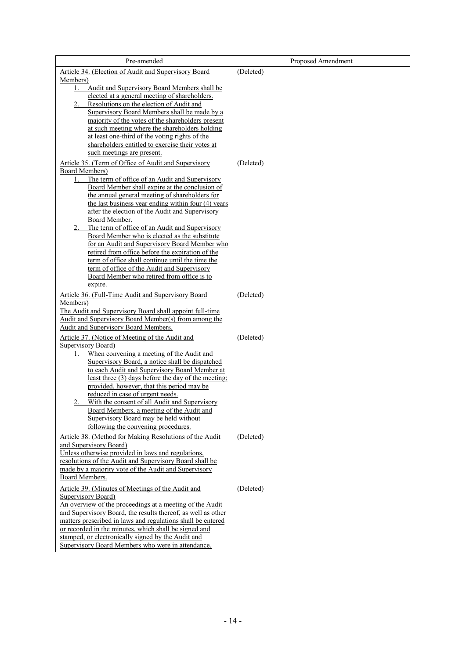| Pre-amended                                                                                                     | Proposed Amendment |
|-----------------------------------------------------------------------------------------------------------------|--------------------|
| Article 34. (Election of Audit and Supervisory Board                                                            | (Deleted)          |
| Members)                                                                                                        |                    |
| Audit and Supervisory Board Members shall be<br>1.                                                              |                    |
| elected at a general meeting of shareholders.<br>Resolutions on the election of Audit and<br>2.                 |                    |
| Supervisory Board Members shall be made by a                                                                    |                    |
| majority of the votes of the shareholders present                                                               |                    |
| at such meeting where the shareholders holding                                                                  |                    |
| at least one-third of the voting rights of the                                                                  |                    |
| shareholders entitled to exercise their votes at                                                                |                    |
| such meetings are present.                                                                                      |                    |
| Article 35. (Term of Office of Audit and Supervisory                                                            | (Deleted)          |
| <b>Board Members</b> )<br>The term of office of an Audit and Supervisory<br>1.                                  |                    |
| Board Member shall expire at the conclusion of                                                                  |                    |
| the annual general meeting of shareholders for                                                                  |                    |
| the last business year ending within four (4) years                                                             |                    |
| after the election of the Audit and Supervisory                                                                 |                    |
| Board Member.<br>The term of office of an Audit and Supervisory<br>2.                                           |                    |
| Board Member who is elected as the substitute                                                                   |                    |
| for an Audit and Supervisory Board Member who                                                                   |                    |
| retired from office before the expiration of the                                                                |                    |
| term of office shall continue until the time the                                                                |                    |
| term of office of the Audit and Supervisory                                                                     |                    |
| Board Member who retired from office is to<br>expire.                                                           |                    |
| Article 36. (Full-Time Audit and Supervisory Board                                                              | (Deleted)          |
| Members)                                                                                                        |                    |
| The Audit and Supervisory Board shall appoint full-time                                                         |                    |
| Audit and Supervisory Board Member(s) from among the                                                            |                    |
| Audit and Supervisory Board Members.                                                                            |                    |
| Article 37. (Notice of Meeting of the Audit and                                                                 | (Deleted)          |
| Supervisory Board)<br>When convening a meeting of the Audit and<br>1.                                           |                    |
| Supervisory Board, a notice shall be dispatched                                                                 |                    |
| to each Audit and Supervisory Board Member at                                                                   |                    |
| least three (3) days before the day of the meeting;                                                             |                    |
| provided, however, that this period may be                                                                      |                    |
| reduced in case of urgent needs.                                                                                |                    |
| With the consent of all Audit and Supervisory<br>Board Members, a meeting of the Audit and                      |                    |
| Supervisory Board may be held without                                                                           |                    |
| following the convening procedures.                                                                             |                    |
| Article 38. (Method for Making Resolutions of the Audit                                                         | (Deleted)          |
| and Supervisory Board)                                                                                          |                    |
| Unless otherwise provided in laws and regulations,                                                              |                    |
| resolutions of the Audit and Supervisory Board shall be<br>made by a majority vote of the Audit and Supervisory |                    |
| Board Members.                                                                                                  |                    |
| Article 39. (Minutes of Meetings of the Audit and                                                               | (Deleted)          |
| Supervisory Board)                                                                                              |                    |
| An overview of the proceedings at a meeting of the Audit                                                        |                    |
| and Supervisory Board, the results thereof, as well as other                                                    |                    |
| matters prescribed in laws and regulations shall be entered                                                     |                    |
| or recorded in the minutes, which shall be signed and<br>stamped, or electronically signed by the Audit and     |                    |
| Supervisory Board Members who were in attendance.                                                               |                    |
|                                                                                                                 |                    |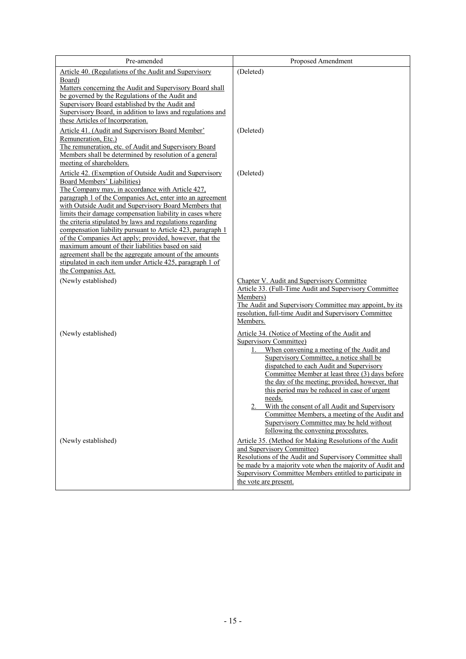| Pre-amended                                                                                                            | Proposed Amendment                                                                                   |
|------------------------------------------------------------------------------------------------------------------------|------------------------------------------------------------------------------------------------------|
| Article 40. (Regulations of the Audit and Supervisory                                                                  | (Deleted)                                                                                            |
| Board)                                                                                                                 |                                                                                                      |
| Matters concerning the Audit and Supervisory Board shall<br>be governed by the Regulations of the Audit and            |                                                                                                      |
| Supervisory Board established by the Audit and                                                                         |                                                                                                      |
| Supervisory Board, in addition to laws and regulations and                                                             |                                                                                                      |
| these Articles of Incorporation.                                                                                       |                                                                                                      |
| Article 41. (Audit and Supervisory Board Member'                                                                       | (Deleted)                                                                                            |
| Remuneration, Etc.)                                                                                                    |                                                                                                      |
| The remuneration, etc. of Audit and Supervisory Board<br>Members shall be determined by resolution of a general        |                                                                                                      |
| meeting of shareholders.                                                                                               |                                                                                                      |
| Article 42. (Exemption of Outside Audit and Supervisory                                                                | (Deleted)                                                                                            |
| <b>Board Members' Liabilities)</b>                                                                                     |                                                                                                      |
| The Company may, in accordance with Article 427,<br>paragraph 1 of the Companies Act, enter into an agreement          |                                                                                                      |
| with Outside Audit and Supervisory Board Members that                                                                  |                                                                                                      |
| limits their damage compensation liability in cases where                                                              |                                                                                                      |
| the criteria stipulated by laws and regulations regarding                                                              |                                                                                                      |
| compensation liability pursuant to Article 423, paragraph 1<br>of the Companies Act apply; provided, however, that the |                                                                                                      |
| maximum amount of their liabilities based on said                                                                      |                                                                                                      |
| agreement shall be the aggregate amount of the amounts                                                                 |                                                                                                      |
| stipulated in each item under Article 425, paragraph 1 of                                                              |                                                                                                      |
| the Companies Act.                                                                                                     |                                                                                                      |
| (Newly established)                                                                                                    | Chapter V. Audit and Supervisory Committee<br>Article 33. (Full-Time Audit and Supervisory Committee |
|                                                                                                                        | Members)                                                                                             |
|                                                                                                                        | The Audit and Supervisory Committee may appoint, by its                                              |
|                                                                                                                        | resolution, full-time Audit and Supervisory Committee                                                |
|                                                                                                                        | Members.                                                                                             |
| (Newly established)                                                                                                    | Article 34. (Notice of Meeting of the Audit and                                                      |
|                                                                                                                        | <b>Supervisory Committee)</b><br>When convening a meeting of the Audit and<br>1.                     |
|                                                                                                                        | Supervisory Committee, a notice shall be                                                             |
|                                                                                                                        | dispatched to each Audit and Supervisory                                                             |
|                                                                                                                        | Committee Member at least three (3) days before                                                      |
|                                                                                                                        | the day of the meeting; provided, however, that<br>this period may be reduced in case of urgent      |
|                                                                                                                        | needs.                                                                                               |
|                                                                                                                        | With the consent of all Audit and Supervisory                                                        |
|                                                                                                                        | Committee Members, a meeting of the Audit and                                                        |
|                                                                                                                        | Supervisory Committee may be held without<br>following the convening procedures.                     |
| (Newly established)                                                                                                    | Article 35. (Method for Making Resolutions of the Audit<br>and Supervisory Committee)                |
|                                                                                                                        | Resolutions of the Audit and Supervisory Committee shall                                             |
|                                                                                                                        | be made by a majority vote when the majority of Audit and                                            |
|                                                                                                                        | Supervisory Committee Members entitled to participate in                                             |
|                                                                                                                        | the vote are present.                                                                                |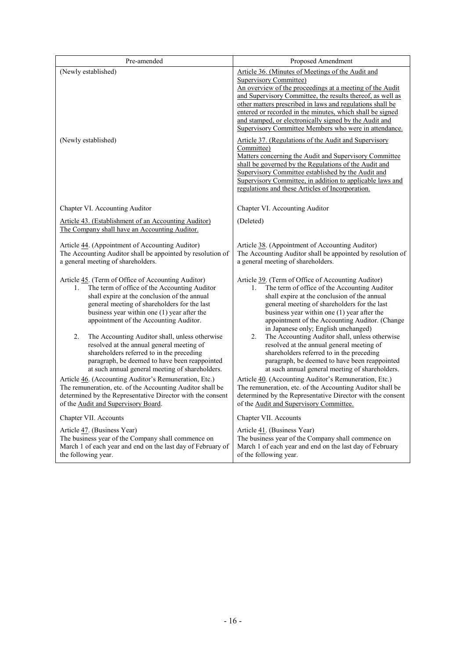| Pre-amended                                                                                                                                                                                                                                                                                                                                                                                                                                                                                                                                                                                                      | Proposed Amendment                                                                                                                                                                                                                                                                                                                                                                                                                                                                                                                                                                                                                                                                                                                                                                                                         |
|------------------------------------------------------------------------------------------------------------------------------------------------------------------------------------------------------------------------------------------------------------------------------------------------------------------------------------------------------------------------------------------------------------------------------------------------------------------------------------------------------------------------------------------------------------------------------------------------------------------|----------------------------------------------------------------------------------------------------------------------------------------------------------------------------------------------------------------------------------------------------------------------------------------------------------------------------------------------------------------------------------------------------------------------------------------------------------------------------------------------------------------------------------------------------------------------------------------------------------------------------------------------------------------------------------------------------------------------------------------------------------------------------------------------------------------------------|
| (Newly established)<br>(Newly established)                                                                                                                                                                                                                                                                                                                                                                                                                                                                                                                                                                       | Article 36. (Minutes of Meetings of the Audit and<br><b>Supervisory Committee)</b><br>An overview of the proceedings at a meeting of the Audit<br>and Supervisory Committee, the results thereof, as well as<br>other matters prescribed in laws and regulations shall be<br>entered or recorded in the minutes, which shall be signed<br>and stamped, or electronically signed by the Audit and<br>Supervisory Committee Members who were in attendance.<br>Article 37. (Regulations of the Audit and Supervisory<br>Committee)<br>Matters concerning the Audit and Supervisory Committee<br>shall be governed by the Regulations of the Audit and<br>Supervisory Committee established by the Audit and<br>Supervisory Committee, in addition to applicable laws and<br>regulations and these Articles of Incorporation. |
| Chapter VI. Accounting Auditor                                                                                                                                                                                                                                                                                                                                                                                                                                                                                                                                                                                   | Chapter VI. Accounting Auditor                                                                                                                                                                                                                                                                                                                                                                                                                                                                                                                                                                                                                                                                                                                                                                                             |
| Article 43. (Establishment of an Accounting Auditor)<br>The Company shall have an Accounting Auditor.                                                                                                                                                                                                                                                                                                                                                                                                                                                                                                            | (Deleted)                                                                                                                                                                                                                                                                                                                                                                                                                                                                                                                                                                                                                                                                                                                                                                                                                  |
| Article 44. (Appointment of Accounting Auditor)<br>The Accounting Auditor shall be appointed by resolution of<br>a general meeting of shareholders.                                                                                                                                                                                                                                                                                                                                                                                                                                                              | Article 38. (Appointment of Accounting Auditor)<br>The Accounting Auditor shall be appointed by resolution of<br>a general meeting of shareholders.                                                                                                                                                                                                                                                                                                                                                                                                                                                                                                                                                                                                                                                                        |
| Article 45. (Term of Office of Accounting Auditor)<br>The term of office of the Accounting Auditor<br>1.<br>shall expire at the conclusion of the annual<br>general meeting of shareholders for the last<br>business year within one (1) year after the<br>appointment of the Accounting Auditor.<br>2.<br>The Accounting Auditor shall, unless otherwise<br>resolved at the annual general meeting of<br>shareholders referred to in the preceding<br>paragraph, be deemed to have been reappointed<br>at such annual general meeting of shareholders.<br>Article 46. (Accounting Auditor's Remuneration, Etc.) | Article 39. (Term of Office of Accounting Auditor)<br>The term of office of the Accounting Auditor<br>1.<br>shall expire at the conclusion of the annual<br>general meeting of shareholders for the last<br>business year within one (1) year after the<br>appointment of the Accounting Auditor. (Change<br>in Japanese only; English unchanged)<br>2.<br>The Accounting Auditor shall, unless otherwise<br>resolved at the annual general meeting of<br>shareholders referred to in the preceding<br>paragraph, be deemed to have been reappointed<br>at such annual general meeting of shareholders.<br>Article 40. (Accounting Auditor's Remuneration, Etc.)                                                                                                                                                           |
| The remuneration, etc. of the Accounting Auditor shall be<br>determined by the Representative Director with the consent<br>of the Audit and Supervisory Board.                                                                                                                                                                                                                                                                                                                                                                                                                                                   | The remuneration, etc. of the Accounting Auditor shall be<br>determined by the Representative Director with the consent<br>of the Audit and Supervisory Committee.                                                                                                                                                                                                                                                                                                                                                                                                                                                                                                                                                                                                                                                         |
| Chapter VII. Accounts                                                                                                                                                                                                                                                                                                                                                                                                                                                                                                                                                                                            | Chapter VII. Accounts                                                                                                                                                                                                                                                                                                                                                                                                                                                                                                                                                                                                                                                                                                                                                                                                      |
| Article 47. (Business Year)<br>The business year of the Company shall commence on<br>March 1 of each year and end on the last day of February of<br>the following year.                                                                                                                                                                                                                                                                                                                                                                                                                                          | Article 41. (Business Year)<br>The business year of the Company shall commence on<br>March 1 of each year and end on the last day of February<br>of the following year.                                                                                                                                                                                                                                                                                                                                                                                                                                                                                                                                                                                                                                                    |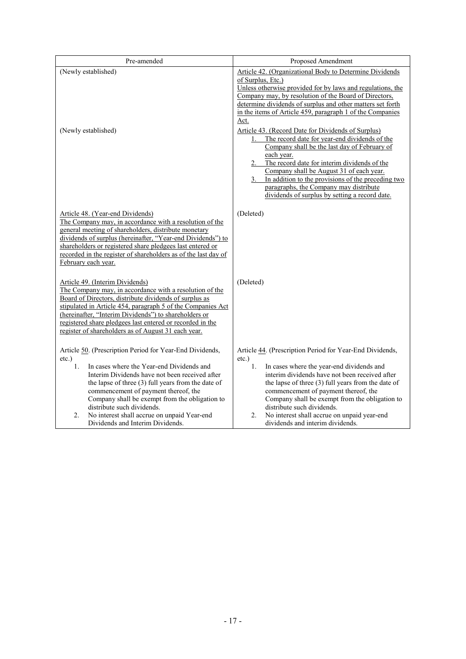| Pre-amended                                                                                                                                                                                                                                                                                                                                                                                                                                      | Proposed Amendment                                                                                                                                                                                                                                                                                                                                                                                                                               |
|--------------------------------------------------------------------------------------------------------------------------------------------------------------------------------------------------------------------------------------------------------------------------------------------------------------------------------------------------------------------------------------------------------------------------------------------------|--------------------------------------------------------------------------------------------------------------------------------------------------------------------------------------------------------------------------------------------------------------------------------------------------------------------------------------------------------------------------------------------------------------------------------------------------|
| (Newly established)                                                                                                                                                                                                                                                                                                                                                                                                                              | Article 42. (Organizational Body to Determine Dividends<br>of Surplus, Etc.)<br>Unless otherwise provided for by laws and regulations, the<br>Company may, by resolution of the Board of Directors,<br>determine dividends of surplus and other matters set forth<br>in the items of Article 459, paragraph 1 of the Companies<br>Act.                                                                                                           |
| (Newly established)                                                                                                                                                                                                                                                                                                                                                                                                                              | Article 43. (Record Date for Dividends of Surplus)<br>The record date for year-end dividends of the<br>Company shall be the last day of February of<br>each year.<br>2. The record date for interim dividends of the<br>Company shall be August 31 of each year.<br>3. In addition to the provisions of the preceding two<br>paragraphs, the Company may distribute<br>dividends of surplus by setting a record date.                            |
| Article 48. (Year-end Dividends)<br>The Company may, in accordance with a resolution of the<br>general meeting of shareholders, distribute monetary<br>dividends of surplus (hereinafter, "Year-end Dividends") to<br>shareholders or registered share pledgees last entered or<br>recorded in the register of shareholders as of the last day of<br>February each year.                                                                         | (Deleted)                                                                                                                                                                                                                                                                                                                                                                                                                                        |
| Article 49. (Interim Dividends)<br>The Company may, in accordance with a resolution of the<br>Board of Directors, distribute dividends of surplus as<br>stipulated in Article 454, paragraph 5 of the Companies Act<br>(hereinafter, "Interim Dividends") to shareholders or<br>registered share pledgees last entered or recorded in the<br>register of shareholders as of August 31 each year.                                                 | (Deleted)                                                                                                                                                                                                                                                                                                                                                                                                                                        |
| Article 50. (Prescription Period for Year-End Dividends,<br>$etc.$ )<br>In cases where the Year-end Dividends and<br>1.<br>Interim Dividends have not been received after<br>the lapse of three (3) full years from the date of<br>commencement of payment thereof, the<br>Company shall be exempt from the obligation to<br>distribute such dividends.<br>No interest shall accrue on unpaid Year-end<br>2.<br>Dividends and Interim Dividends. | Article 44. (Prescription Period for Year-End Dividends,<br>$etc.$ )<br>1.<br>In cases where the year-end dividends and<br>interim dividends have not been received after<br>the lapse of three (3) full years from the date of<br>commencement of payment thereof, the<br>Company shall be exempt from the obligation to<br>distribute such dividends.<br>No interest shall accrue on unpaid year-end<br>2.<br>dividends and interim dividends. |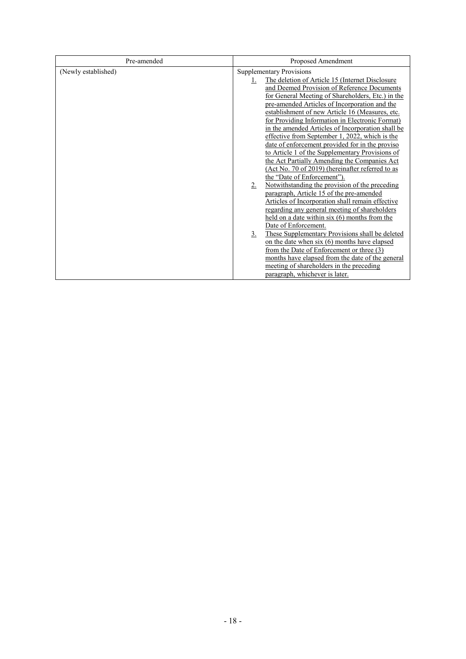| Pre-amended         | Proposed Amendment                                                   |  |  |
|---------------------|----------------------------------------------------------------------|--|--|
| (Newly established) | <b>Supplementary Provisions</b>                                      |  |  |
|                     | The deletion of Article 15 (Internet Disclosure<br>1.                |  |  |
|                     | and Deemed Provision of Reference Documents                          |  |  |
|                     | for General Meeting of Shareholders, Etc.) in the                    |  |  |
|                     | pre-amended Articles of Incorporation and the                        |  |  |
|                     | establishment of new Article 16 (Measures, etc.                      |  |  |
|                     | for Providing Information in Electronic Format)                      |  |  |
|                     | in the amended Articles of Incorporation shall be                    |  |  |
|                     | effective from September 1, 2022, which is the                       |  |  |
|                     | date of enforcement provided for in the proviso                      |  |  |
|                     | to Article 1 of the Supplementary Provisions of                      |  |  |
|                     | the Act Partially Amending the Companies Act                         |  |  |
|                     | (Act No. 70 of 2019) (hereinafter referred to as                     |  |  |
|                     | the "Date of Enforcement").                                          |  |  |
|                     | Notwithstanding the provision of the preceding<br>2.                 |  |  |
|                     | paragraph, Article 15 of the pre-amended                             |  |  |
|                     | Articles of Incorporation shall remain effective                     |  |  |
|                     | regarding any general meeting of shareholders                        |  |  |
|                     | held on a date within six (6) months from the                        |  |  |
|                     | Date of Enforcement.                                                 |  |  |
|                     | These Supplementary Provisions shall be deleted<br>$\underline{3}$ . |  |  |
|                     | on the date when six (6) months have elapsed                         |  |  |
|                     | from the Date of Enforcement or three (3)                            |  |  |
|                     | months have elapsed from the date of the general                     |  |  |
|                     | meeting of shareholders in the preceding                             |  |  |
|                     | paragraph, whichever is later.                                       |  |  |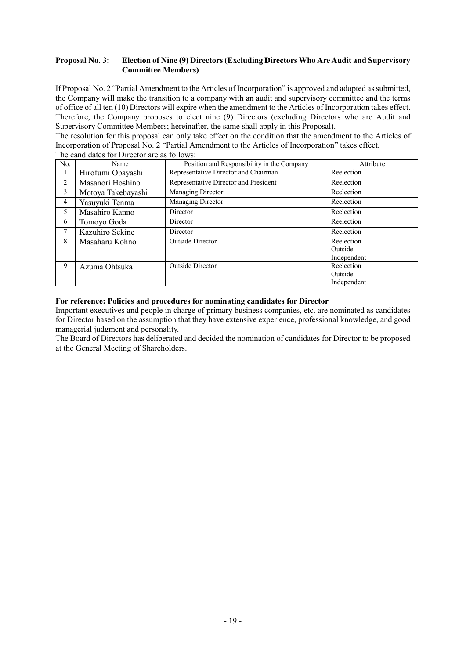### **Proposal No. 3: Election of Nine (9) Directors (Excluding Directors Who Are Audit and Supervisory Committee Members)**

If Proposal No. 2 "Partial Amendment to the Articles of Incorporation" is approved and adopted as submitted, the Company will make the transition to a company with an audit and supervisory committee and the terms of office of all ten (10) Directors will expire when the amendment to the Articles of Incorporation takes effect. Therefore, the Company proposes to elect nine (9) Directors (excluding Directors who are Audit and Supervisory Committee Members; hereinafter, the same shall apply in this Proposal).

The resolution for this proposal can only take effect on the condition that the amendment to the Articles of Incorporation of Proposal No. 2 "Partial Amendment to the Articles of Incorporation" takes effect. The candidates for Director are as follows:

| No.            | Name               | Position and Responsibility in the Company | Attribute   |
|----------------|--------------------|--------------------------------------------|-------------|
| $\perp$        | Hirofumi Obayashi  | Representative Director and Chairman       | Reelection  |
| $\overline{2}$ | Masanori Hoshino   | Representative Director and President      | Reelection  |
| 3              | Motoya Takebayashi | Managing Director                          | Reelection  |
| 4              | Yasuyuki Tenma     | Managing Director                          | Reelection  |
| 5              | Masahiro Kanno     | Director                                   | Reelection  |
| 6              | Tomoyo Goda        | Director                                   | Reelection  |
| 7              | Kazuhiro Sekine    | Director                                   | Reelection  |
| 8              | Masaharu Kohno     | <b>Outside Director</b>                    | Reelection  |
|                |                    |                                            | Outside     |
|                |                    |                                            | Independent |
| 9              | Azuma Ohtsuka      | <b>Outside Director</b>                    | Reelection  |
|                |                    |                                            | Outside     |
|                |                    |                                            | Independent |

### **For reference: Policies and procedures for nominating candidates for Director**

Important executives and people in charge of primary business companies, etc. are nominated as candidates for Director based on the assumption that they have extensive experience, professional knowledge, and good managerial judgment and personality.

The Board of Directors has deliberated and decided the nomination of candidates for Director to be proposed at the General Meeting of Shareholders.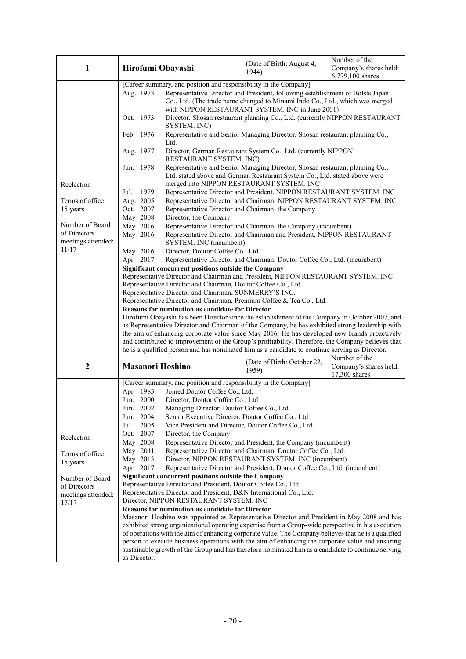| [Career summary, and position and responsibility in the Company]                                                                                                                                       | Company's shares held:                                                                                                                                                                                             |  |  |  |
|--------------------------------------------------------------------------------------------------------------------------------------------------------------------------------------------------------|--------------------------------------------------------------------------------------------------------------------------------------------------------------------------------------------------------------------|--|--|--|
|                                                                                                                                                                                                        |                                                                                                                                                                                                                    |  |  |  |
| Aug. 1973                                                                                                                                                                                              | Representative Director and President, following establishment of Bolsts Japan<br>Co., Ltd. (The trade name changed to Minami Indo Co., Ltd., which was merged<br>with NIPPON RESTAURANT SYSTEM. INC in June 2001) |  |  |  |
| Oct. 1973<br>Director, Shosan restaurant planning Co., Ltd. (currently NIPPON RESTAURANT<br>SYSTEM. INC)                                                                                               |                                                                                                                                                                                                                    |  |  |  |
| Representative and Senior Managing Director, Shosan restaurant planning Co.,<br>Feb. 1976<br>Ltd.                                                                                                      |                                                                                                                                                                                                                    |  |  |  |
| Director, German Restaurant System Co., Ltd. (currently NIPPON<br>Aug. 1977<br>RESTAURANT SYSTEM. INC)                                                                                                 |                                                                                                                                                                                                                    |  |  |  |
| Representative and Senior Managing Director, Shosan restaurant planning Co.,<br>Jun. 1978<br>Ltd. stated above and German Restaurant System Co., Ltd. stated above were                                |                                                                                                                                                                                                                    |  |  |  |
| merged into NIPPON RESTAURANT SYSTEM. INC<br>Reelection                                                                                                                                                |                                                                                                                                                                                                                    |  |  |  |
| 1979<br>Representative Director and President, NIPPON RESTAURANT SYSTEM. INC<br>Jul.                                                                                                                   |                                                                                                                                                                                                                    |  |  |  |
| Aug. 2005<br>Representative Director and Chairman, NIPPON RESTAURANT SYSTEM. INC<br>Terms of office:                                                                                                   |                                                                                                                                                                                                                    |  |  |  |
| Oct. 2007<br>15 years<br>Representative Director and Chairman, the Company                                                                                                                             |                                                                                                                                                                                                                    |  |  |  |
| May 2008<br>Director, the Company<br>Number of Board                                                                                                                                                   |                                                                                                                                                                                                                    |  |  |  |
| May 2016<br>Representative Director and Chairman, the Company (incumbent)<br>of Directors                                                                                                              |                                                                                                                                                                                                                    |  |  |  |
| May 2016<br>Representative Director and Chairman and President, NIPPON RESTAURANT<br>meetings attended:<br>SYSTEM. INC (incumbent)                                                                     |                                                                                                                                                                                                                    |  |  |  |
| 11/17<br>May 2016<br>Director, Doutor Coffee Co., Ltd.                                                                                                                                                 |                                                                                                                                                                                                                    |  |  |  |
|                                                                                                                                                                                                        | Representative Director and Chairman, Doutor Coffee Co., Ltd. (incumbent)<br>Apr. 2017                                                                                                                             |  |  |  |
|                                                                                                                                                                                                        | Significant concurrent positions outside the Company                                                                                                                                                               |  |  |  |
|                                                                                                                                                                                                        | Representative Director and Chairman and President, NIPPON RESTAURANT SYSTEM. INC                                                                                                                                  |  |  |  |
|                                                                                                                                                                                                        | Representative Director and Chairman, Doutor Coffee Co., Ltd.<br>Representative Director and Chairman, SUNMERRY'S INC.                                                                                             |  |  |  |
| Representative Director and Chairman, Premium Coffee & Tea Co., Ltd.                                                                                                                                   |                                                                                                                                                                                                                    |  |  |  |
|                                                                                                                                                                                                        | <b>Reasons for nomination as candidate for Director</b>                                                                                                                                                            |  |  |  |
|                                                                                                                                                                                                        | Hirofumi Obayashi has been Director since the establishment of the Company in October 2007, and                                                                                                                    |  |  |  |
|                                                                                                                                                                                                        | as Representative Director and Chairman of the Company, he has exhibited strong leadership with                                                                                                                    |  |  |  |
|                                                                                                                                                                                                        | the aim of enhancing corporate value since May 2016. He has developed new brands proactively                                                                                                                       |  |  |  |
| and contributed to improvement of the Group's profitability. Therefore, the Company believes that                                                                                                      |                                                                                                                                                                                                                    |  |  |  |
| he is a qualified person and has nominated him as a candidate to continue serving as Director.<br>Number of the                                                                                        |                                                                                                                                                                                                                    |  |  |  |
| (Date of Birth: October 22,<br>$\boldsymbol{2}$<br><b>Masanori Hoshino</b><br>Company's shares held:<br>1959)<br>17,300 shares                                                                         |                                                                                                                                                                                                                    |  |  |  |
| [Career summary, and position and responsibility in the Company]                                                                                                                                       |                                                                                                                                                                                                                    |  |  |  |
| Apr. 1983<br>Joined Doutor Coffee Co., Ltd.                                                                                                                                                            |                                                                                                                                                                                                                    |  |  |  |
| Jun. 2000<br>Director, Doutor Coffee Co., Ltd.<br>Jun. 2002                                                                                                                                            |                                                                                                                                                                                                                    |  |  |  |
| Managing Director, Doutor Coffee Co., Ltd.<br>2004<br>Senior Executive Director, Doutor Coffee Co., Ltd.<br>Jun.                                                                                       |                                                                                                                                                                                                                    |  |  |  |
| 2005<br>Vice President and Director, Doutor Coffee Co., Ltd.<br>Jul.                                                                                                                                   |                                                                                                                                                                                                                    |  |  |  |
| Oct. 2007<br>Director, the Company                                                                                                                                                                     |                                                                                                                                                                                                                    |  |  |  |
| Reelection<br>May 2008<br>Representative Director and President, the Company (incumbent)                                                                                                               |                                                                                                                                                                                                                    |  |  |  |
| May 2011<br>Representative Director and Chairman, Doutor Coffee Co., Ltd.                                                                                                                              |                                                                                                                                                                                                                    |  |  |  |
| Terms of office:<br>Director, NIPPON RESTAURANT SYSTEM. INC (incumbent)<br>May 2013                                                                                                                    |                                                                                                                                                                                                                    |  |  |  |
| 15 years<br>Apr. 2017<br>Representative Director and President, Doutor Coffee Co., Ltd. (incumbent)                                                                                                    |                                                                                                                                                                                                                    |  |  |  |
| Significant concurrent positions outside the Company<br>Number of Board                                                                                                                                |                                                                                                                                                                                                                    |  |  |  |
| Representative Director and President, Doutor Coffee Co., Ltd.<br>of Directors                                                                                                                         |                                                                                                                                                                                                                    |  |  |  |
| Representative Director and President, D&N International Co., Ltd.<br>meetings attended:                                                                                                               |                                                                                                                                                                                                                    |  |  |  |
| Director, NIPPON RESTAURANT SYSTEM. INC<br>17/17                                                                                                                                                       |                                                                                                                                                                                                                    |  |  |  |
| <b>Reasons for nomination as candidate for Director</b>                                                                                                                                                |                                                                                                                                                                                                                    |  |  |  |
| Masanori Hoshino was appointed as Representative Director and President in May 2008 and has                                                                                                            |                                                                                                                                                                                                                    |  |  |  |
| exhibited strong organizational operating expertise from a Group-wide perspective in his execution                                                                                                     |                                                                                                                                                                                                                    |  |  |  |
| of operations with the aim of enhancing corporate value. The Company believes that he is a qualified                                                                                                   |                                                                                                                                                                                                                    |  |  |  |
| person to execute business operations with the aim of enhancing the corporate value and ensuring<br>sustainable growth of the Group and has therefore nominated him as a candidate to continue serving |                                                                                                                                                                                                                    |  |  |  |
| as Director.                                                                                                                                                                                           |                                                                                                                                                                                                                    |  |  |  |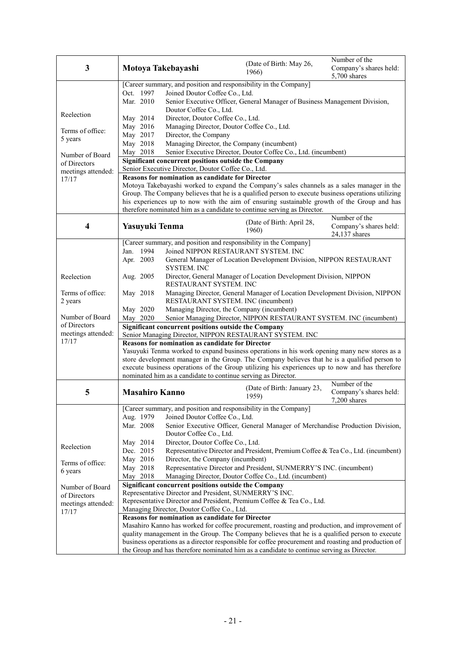| Oct. 1997<br>Joined Doutor Coffee Co., Ltd.                                                                                                                                                     |                                                                             |  |  |  |
|-------------------------------------------------------------------------------------------------------------------------------------------------------------------------------------------------|-----------------------------------------------------------------------------|--|--|--|
|                                                                                                                                                                                                 | [Career summary, and position and responsibility in the Company]            |  |  |  |
|                                                                                                                                                                                                 |                                                                             |  |  |  |
| Mar. 2010<br>Senior Executive Officer, General Manager of Business Management Division,                                                                                                         |                                                                             |  |  |  |
| Doutor Coffee Co., Ltd.<br>Reelection                                                                                                                                                           |                                                                             |  |  |  |
| May 2014<br>Director, Doutor Coffee Co., Ltd.<br>Managing Director, Doutor Coffee Co., Ltd.<br>May 2016                                                                                         |                                                                             |  |  |  |
| Terms of office:<br>May 2017<br>Director, the Company                                                                                                                                           |                                                                             |  |  |  |
| 5 years<br>May 2018<br>Managing Director, the Company (incumbent)                                                                                                                               |                                                                             |  |  |  |
| Senior Executive Director, Doutor Coffee Co., Ltd. (incumbent)<br>May 2018                                                                                                                      |                                                                             |  |  |  |
| Number of Board<br>Significant concurrent positions outside the Company<br>of Directors                                                                                                         |                                                                             |  |  |  |
| Senior Executive Director, Doutor Coffee Co., Ltd.<br>meetings attended:                                                                                                                        |                                                                             |  |  |  |
| <b>Reasons for nomination as candidate for Director</b><br>17/17                                                                                                                                |                                                                             |  |  |  |
| Motoya Takebayashi worked to expand the Company's sales channels as a sales manager in the                                                                                                      |                                                                             |  |  |  |
| Group. The Company believes that he is a qualified person to execute business operations utilizing                                                                                              |                                                                             |  |  |  |
| his experiences up to now with the aim of ensuring sustainable growth of the Group and has<br>therefore nominated him as a candidate to continue serving as Director.                           |                                                                             |  |  |  |
| Number of the                                                                                                                                                                                   |                                                                             |  |  |  |
| (Date of Birth: April 28,<br>4<br>Yasuyuki Tenma<br>Company's shares held:<br>1960)                                                                                                             |                                                                             |  |  |  |
| 24,137 shares                                                                                                                                                                                   |                                                                             |  |  |  |
| [Career summary, and position and responsibility in the Company]                                                                                                                                |                                                                             |  |  |  |
| Jan. 1994<br>Joined NIPPON RESTAURANT SYSTEM, INC.                                                                                                                                              |                                                                             |  |  |  |
| Apr. 2003<br>General Manager of Location Development Division, NIPPON RESTAURANT<br>SYSTEM. INC                                                                                                 |                                                                             |  |  |  |
| Aug. 2005<br>Director, General Manager of Location Development Division, NIPPON<br>Reelection<br>RESTAURANT SYSTEM. INC                                                                         |                                                                             |  |  |  |
| Terms of office:<br>May 2018                                                                                                                                                                    | Managing Director, General Manager of Location Development Division, NIPPON |  |  |  |
| RESTAURANT SYSTEM. INC (incumbent)<br>2 years                                                                                                                                                   |                                                                             |  |  |  |
| May 2020<br>Managing Director, the Company (incumbent)<br>Number of Board                                                                                                                       |                                                                             |  |  |  |
| May 2020<br>Senior Managing Director, NIPPON RESTAURANT SYSTEM. INC (incumbent)<br>of Directors                                                                                                 |                                                                             |  |  |  |
| meetings attended:<br>Senior Managing Director, NIPPON RESTAURANT SYSTEM. INC                                                                                                                   | Significant concurrent positions outside the Company                        |  |  |  |
| 17/17<br><b>Reasons for nomination as candidate for Director</b>                                                                                                                                |                                                                             |  |  |  |
| Yasuyuki Tenma worked to expand business operations in his work opening many new stores as a                                                                                                    |                                                                             |  |  |  |
| store development manager in the Group. The Company believes that he is a qualified person to                                                                                                   |                                                                             |  |  |  |
| execute business operations of the Group utilizing his experiences up to now and has therefore                                                                                                  |                                                                             |  |  |  |
| nominated him as a candidate to continue serving as Director.<br>Number of the                                                                                                                  |                                                                             |  |  |  |
| (Date of Birth: January 23,<br>5<br><b>Masahiro Kanno</b><br>Company's shares held:<br>1959)<br>7,200 shares                                                                                    |                                                                             |  |  |  |
| [Career summary, and position and responsibility in the Company]                                                                                                                                |                                                                             |  |  |  |
| Aug. 1979<br>Joined Doutor Coffee Co., Ltd.                                                                                                                                                     |                                                                             |  |  |  |
| Mar. 2008<br>Senior Executive Officer, General Manager of Merchandise Production Division,                                                                                                      |                                                                             |  |  |  |
| Doutor Coffee Co., Ltd.<br>May 2014<br>Director, Doutor Coffee Co., Ltd.                                                                                                                        |                                                                             |  |  |  |
| Reelection<br>Dec. 2015<br>Representative Director and President, Premium Coffee & Tea Co., Ltd. (incumbent)                                                                                    |                                                                             |  |  |  |
| May 2016<br>Director, the Company (incumbent)                                                                                                                                                   |                                                                             |  |  |  |
| Terms of office:<br>Representative Director and President, SUNMERRY'S INC. (incumbent)<br>May 2018                                                                                              |                                                                             |  |  |  |
| 6 years<br>May 2018<br>Managing Director, Doutor Coffee Co., Ltd. (incumbent)                                                                                                                   |                                                                             |  |  |  |
| Significant concurrent positions outside the Company<br>Number of Board                                                                                                                         |                                                                             |  |  |  |
| Representative Director and President, SUNMERRY'S INC.<br>of Directors                                                                                                                          |                                                                             |  |  |  |
| meetings attended:                                                                                                                                                                              | Representative Director and President, Premium Coffee & Tea Co., Ltd.       |  |  |  |
| Managing Director, Doutor Coffee Co., Ltd.<br>17/17                                                                                                                                             |                                                                             |  |  |  |
| <b>Reasons for nomination as candidate for Director</b>                                                                                                                                         |                                                                             |  |  |  |
| Masahiro Kanno has worked for coffee procurement, roasting and production, and improvement of<br>quality management in the Group. The Company believes that he is a qualified person to execute |                                                                             |  |  |  |
| business operations as a director responsible for coffee procurement and roasting and production of                                                                                             |                                                                             |  |  |  |
| the Group and has therefore nominated him as a candidate to continue serving as Director.                                                                                                       |                                                                             |  |  |  |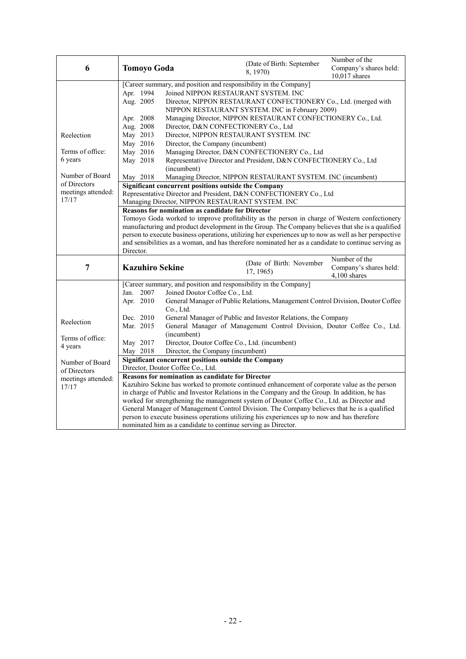| 6                  | <b>Tomoyo Goda</b>                                                                                    | (Date of Birth: September<br>8, 1970)                                                                                                                        | Number of the<br>Company's shares held:<br>$10,017$ shares |
|--------------------|-------------------------------------------------------------------------------------------------------|--------------------------------------------------------------------------------------------------------------------------------------------------------------|------------------------------------------------------------|
|                    |                                                                                                       | [Career summary, and position and responsibility in the Company]                                                                                             |                                                            |
|                    | Apr. 1994                                                                                             | Joined NIPPON RESTAURANT SYSTEM. INC                                                                                                                         |                                                            |
|                    | Aug. 2005                                                                                             | Director, NIPPON RESTAURANT CONFECTIONERY Co., Ltd. (merged with                                                                                             |                                                            |
|                    |                                                                                                       | NIPPON RESTAURANT SYSTEM. INC in February 2009)                                                                                                              |                                                            |
|                    | Apr. 2008                                                                                             | Managing Director, NIPPON RESTAURANT CONFECTIONERY Co., Ltd.                                                                                                 |                                                            |
|                    | Aug. 2008                                                                                             | Director, D&N CONFECTIONERY Co., Ltd                                                                                                                         |                                                            |
| Reelection         | May 2013                                                                                              | Director, NIPPON RESTAURANT SYSTEM. INC                                                                                                                      |                                                            |
| Terms of office:   | May 2016<br>May 2016                                                                                  | Director, the Company (incumbent)<br>Managing Director, D&N CONFECTIONERY Co., Ltd                                                                           |                                                            |
| 6 years            | May 2018                                                                                              | Representative Director and President, D&N CONFECTIONERY Co., Ltd                                                                                            |                                                            |
|                    | (incumbent)                                                                                           |                                                                                                                                                              |                                                            |
| Number of Board    | May 2018                                                                                              | Managing Director, NIPPON RESTAURANT SYSTEM. INC (incumbent)                                                                                                 |                                                            |
| of Directors       |                                                                                                       | Significant concurrent positions outside the Company                                                                                                         |                                                            |
| meetings attended: |                                                                                                       | Representative Director and President, D&N CONFECTIONERY Co., Ltd                                                                                            |                                                            |
| 17/17              |                                                                                                       | Managing Director, NIPPON RESTAURANT SYSTEM. INC                                                                                                             |                                                            |
|                    | <b>Reasons for nomination as candidate for Director</b>                                               |                                                                                                                                                              |                                                            |
|                    | Tomoyo Goda worked to improve profitability as the person in charge of Western confectionery          |                                                                                                                                                              |                                                            |
|                    | manufacturing and product development in the Group. The Company believes that she is a qualified      |                                                                                                                                                              |                                                            |
|                    | person to execute business operations, utilizing her experiences up to now as well as her perspective |                                                                                                                                                              |                                                            |
|                    | Director.                                                                                             | and sensibilities as a woman, and has therefore nominated her as a candidate to continue serving as                                                          |                                                            |
|                    |                                                                                                       |                                                                                                                                                              | Number of the                                              |
| $\overline{7}$     | <b>Kazuhiro Sekine</b>                                                                                | (Date of Birth: November<br>17, 1965)                                                                                                                        | Company's shares held:<br>4,100 shares                     |
|                    |                                                                                                       | [Career summary, and position and responsibility in the Company]                                                                                             |                                                            |
|                    | Jan. 2007                                                                                             | Joined Doutor Coffee Co., Ltd.                                                                                                                               |                                                            |
|                    | Apr. 2010<br>Co., Ltd.                                                                                | General Manager of Public Relations, Management Control Division, Doutor Coffee                                                                              |                                                            |
| Reelection         | Dec. 2010                                                                                             | General Manager of Public and Investor Relations, the Company                                                                                                |                                                            |
|                    | Mar. 2015<br>(incumbent)                                                                              | General Manager of Management Control Division, Doutor Coffee Co., Ltd.                                                                                      |                                                            |
| Terms of office:   | May 2017                                                                                              | Director, Doutor Coffee Co., Ltd. (incumbent)                                                                                                                |                                                            |
| 4 years            | May 2018                                                                                              | Director, the Company (incumbent)                                                                                                                            |                                                            |
| Number of Board    |                                                                                                       | Significant concurrent positions outside the Company                                                                                                         |                                                            |
| of Directors       | Director, Doutor Coffee Co., Ltd.                                                                     |                                                                                                                                                              |                                                            |
| meetings attended: | <b>Reasons for nomination as candidate for Director</b>                                               |                                                                                                                                                              |                                                            |
| 17/17              |                                                                                                       | Kazuhiro Sekine has worked to promote continued enhancement of corporate value as the person                                                                 |                                                            |
|                    |                                                                                                       | in charge of Public and Investor Relations in the Company and the Group. In addition, he has                                                                 |                                                            |
|                    | worked for strengthening the management system of Doutor Coffee Co., Ltd. as Director and             |                                                                                                                                                              |                                                            |
|                    |                                                                                                       |                                                                                                                                                              |                                                            |
|                    | General Manager of Management Control Division. The Company believes that he is a qualified           |                                                                                                                                                              |                                                            |
|                    |                                                                                                       | person to execute business operations utilizing his experiences up to now and has therefore<br>nominated him as a candidate to continue serving as Director. |                                                            |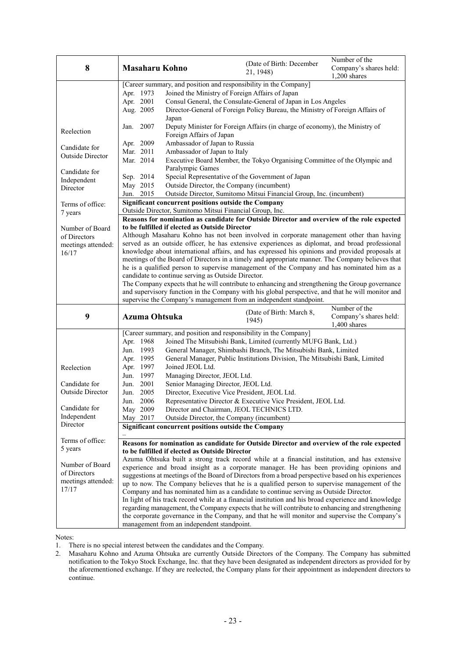| 8                                                                               | <b>Masaharu Kohno</b>                                                                                                                                                                                                                                                                                                                                                                                                                                                                                                                                                                                                                                                                                                                              | (Date of Birth: December<br>21, 1948)                                                                                                                                                                                                                                                                                                                                                                                                                                                                                                                                                                                                                                                                                                                                                                                                                                                                        | Number of the<br>Company's shares held:<br>1,200 shares   |  |
|---------------------------------------------------------------------------------|----------------------------------------------------------------------------------------------------------------------------------------------------------------------------------------------------------------------------------------------------------------------------------------------------------------------------------------------------------------------------------------------------------------------------------------------------------------------------------------------------------------------------------------------------------------------------------------------------------------------------------------------------------------------------------------------------------------------------------------------------|--------------------------------------------------------------------------------------------------------------------------------------------------------------------------------------------------------------------------------------------------------------------------------------------------------------------------------------------------------------------------------------------------------------------------------------------------------------------------------------------------------------------------------------------------------------------------------------------------------------------------------------------------------------------------------------------------------------------------------------------------------------------------------------------------------------------------------------------------------------------------------------------------------------|-----------------------------------------------------------|--|
|                                                                                 | [Career summary, and position and responsibility in the Company]<br>Apr. 1973<br>Apr. 2001<br>Aug. 2005                                                                                                                                                                                                                                                                                                                                                                                                                                                                                                                                                                                                                                            | Joined the Ministry of Foreign Affairs of Japan<br>Consul General, the Consulate-General of Japan in Los Angeles<br>Director-General of Foreign Policy Bureau, the Ministry of Foreign Affairs of                                                                                                                                                                                                                                                                                                                                                                                                                                                                                                                                                                                                                                                                                                            |                                                           |  |
| Reelection                                                                      | Japan<br>2007<br>Jan.<br>Foreign Affairs of Japan                                                                                                                                                                                                                                                                                                                                                                                                                                                                                                                                                                                                                                                                                                  | Deputy Minister for Foreign Affairs (in charge of economy), the Ministry of                                                                                                                                                                                                                                                                                                                                                                                                                                                                                                                                                                                                                                                                                                                                                                                                                                  |                                                           |  |
| Candidate for<br>Outside Director<br>Candidate for<br>Independent<br>Director   | Apr. 2009<br>Ambassador of Japan to Russia<br>Mar. 2011<br>Ambassador of Japan to Italy<br>Mar. 2014<br>Paralympic Games<br>Sep. 2014<br>May 2015<br>Outside Director, the Company (incumbent)                                                                                                                                                                                                                                                                                                                                                                                                                                                                                                                                                     | Executive Board Member, the Tokyo Organising Committee of the Olympic and<br>Special Representative of the Government of Japan                                                                                                                                                                                                                                                                                                                                                                                                                                                                                                                                                                                                                                                                                                                                                                               |                                                           |  |
| Terms of office:<br>7 years                                                     | Jun. 2015<br>Significant concurrent positions outside the Company<br>Outside Director, Sumitomo Mitsui Financial Group, Inc.                                                                                                                                                                                                                                                                                                                                                                                                                                                                                                                                                                                                                       | Outside Director, Sumitomo Mitsui Financial Group, Inc. (incumbent)                                                                                                                                                                                                                                                                                                                                                                                                                                                                                                                                                                                                                                                                                                                                                                                                                                          |                                                           |  |
| Number of Board<br>of Directors<br>meetings attended:<br>16/17                  | supervise the Company's management from an independent standpoint.                                                                                                                                                                                                                                                                                                                                                                                                                                                                                                                                                                                                                                                                                 | Reasons for nomination as candidate for Outside Director and overview of the role expected<br>to be fulfilled if elected as Outside Director<br>Although Masaharu Kohno has not been involved in corporate management other than having<br>served as an outside officer, he has extensive experiences as diplomat, and broad professional<br>knowledge about international affairs, and has expressed his opinions and provided proposals at<br>meetings of the Board of Directors in a timely and appropriate manner. The Company believes that<br>he is a qualified person to supervise management of the Company and has nominated him as a<br>candidate to continue serving as Outside Director.<br>The Company expects that he will contribute to enhancing and strengthening the Group governance<br>and supervisory function in the Company with his global perspective, and that he will monitor and |                                                           |  |
| 9                                                                               | Azuma Ohtsuka                                                                                                                                                                                                                                                                                                                                                                                                                                                                                                                                                                                                                                                                                                                                      | (Date of Birth: March 8,<br>1945)                                                                                                                                                                                                                                                                                                                                                                                                                                                                                                                                                                                                                                                                                                                                                                                                                                                                            | Number of the<br>Company's shares held:<br>$1,400$ shares |  |
| Reelection<br>Candidate for<br>Outside Director<br>Candidate for<br>Independent | [Career summary, and position and responsibility in the Company]<br>Apr. 1968<br>Jun. 1993<br>Apr. 1995<br>Apr. 1997<br>Joined JEOL Ltd.<br>Jun. 1997<br>Managing Director, JEOL Ltd.<br>Jun. 2001<br>Senior Managing Director, JEOL Ltd.<br>Jun. 2005<br>Director, Executive Vice President, JEOL Ltd.<br>Jun. 2006<br>May 2009<br>Outside Director, the Company (incumbent)<br>May 2017                                                                                                                                                                                                                                                                                                                                                          | Joined The Mitsubishi Bank, Limited (currently MUFG Bank, Ltd.)<br>General Manager, Shimbashi Branch, The Mitsubishi Bank, Limited<br>General Manager, Public Institutions Division, The Mitsubishi Bank, Limited<br>Representative Director & Executive Vice President, JEOL Ltd.<br>Director and Chairman, JEOL TECHNICS LTD.                                                                                                                                                                                                                                                                                                                                                                                                                                                                                                                                                                              |                                                           |  |
| Director                                                                        | Significant concurrent positions outside the Company                                                                                                                                                                                                                                                                                                                                                                                                                                                                                                                                                                                                                                                                                               |                                                                                                                                                                                                                                                                                                                                                                                                                                                                                                                                                                                                                                                                                                                                                                                                                                                                                                              |                                                           |  |
| Terms of office:<br>5 years                                                     | Reasons for nomination as candidate for Outside Director and overview of the role expected<br>to be fulfilled if elected as Outside Director<br>Azuma Ohtsuka built a strong track record while at a financial institution, and has extensive                                                                                                                                                                                                                                                                                                                                                                                                                                                                                                      |                                                                                                                                                                                                                                                                                                                                                                                                                                                                                                                                                                                                                                                                                                                                                                                                                                                                                                              |                                                           |  |
| Number of Board<br>of Directors<br>meetings attended:<br>17/17                  | experience and broad insight as a corporate manager. He has been providing opinions and<br>suggestions at meetings of the Board of Directors from a broad perspective based on his experiences<br>up to now. The Company believes that he is a qualified person to supervise management of the<br>Company and has nominated him as a candidate to continue serving as Outside Director.<br>In light of his track record while at a financial institution and his broad experience and knowledge<br>regarding management, the Company expects that he will contribute to enhancing and strengthening<br>the corporate governance in the Company, and that he will monitor and supervise the Company's<br>management from an independent standpoint. |                                                                                                                                                                                                                                                                                                                                                                                                                                                                                                                                                                                                                                                                                                                                                                                                                                                                                                              |                                                           |  |

Notes:

1. There is no special interest between the candidates and the Company.

2. Masaharu Kohno and Azuma Ohtsuka are currently Outside Directors of the Company. The Company has submitted notification to the Tokyo Stock Exchange, Inc. that they have been designated as independent directors as provided for by the aforementioned exchange. If they are reelected, the Company plans for their appointment as independent directors to continue.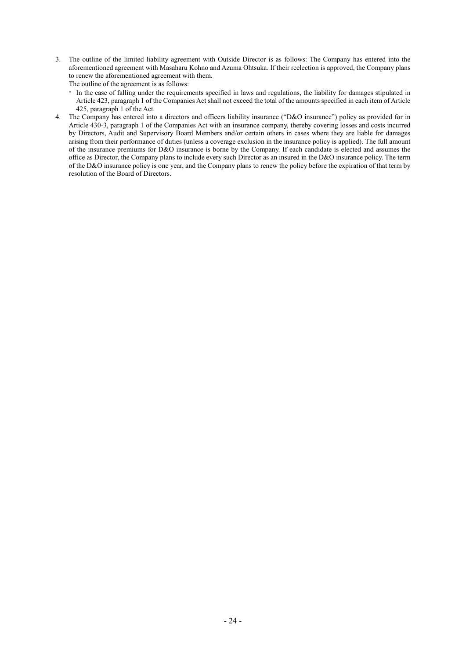3. The outline of the limited liability agreement with Outside Director is as follows: The Company has entered into the aforementioned agreement with Masaharu Kohno and Azuma Ohtsuka. If their reelection is approved, the Company plans to renew the aforementioned agreement with them.

The outline of the agreement is as follows:

- In the case of falling under the requirements specified in laws and regulations, the liability for damages stipulated in Article 423, paragraph 1 of the Companies Act shall not exceed the total of the amounts specified in each item of Article 425, paragraph 1 of the Act.
- 4. The Company has entered into a directors and officers liability insurance ("D&O insurance") policy as provided for in Article 430-3, paragraph 1 of the Companies Act with an insurance company, thereby covering losses and costs incurred by Directors, Audit and Supervisory Board Members and/or certain others in cases where they are liable for damages arising from their performance of duties (unless a coverage exclusion in the insurance policy is applied). The full amount of the insurance premiums for D&O insurance is borne by the Company. If each candidate is elected and assumes the office as Director, the Company plans to include every such Director as an insured in the D&O insurance policy. The term of the D&O insurance policy is one year, and the Company plans to renew the policy before the expiration of that term by resolution of the Board of Directors.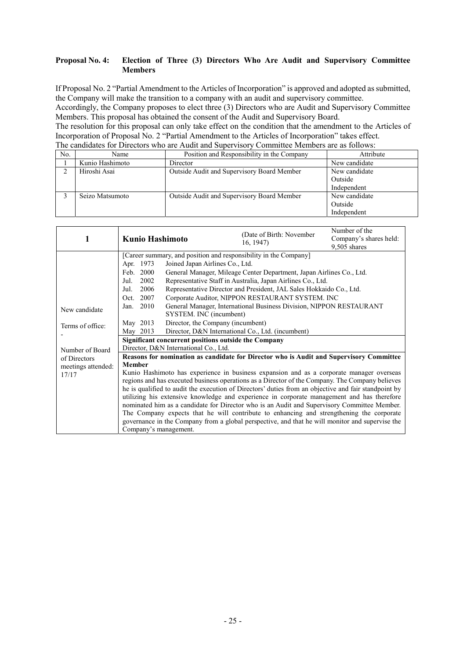### **Proposal No. 4: Election of Three (3) Directors Who Are Audit and Supervisory Committee Members**

If Proposal No. 2 "Partial Amendment to the Articles of Incorporation" is approved and adopted as submitted, the Company will make the transition to a company with an audit and supervisory committee.

Accordingly, the Company proposes to elect three (3) Directors who are Audit and Supervisory Committee Members. This proposal has obtained the consent of the Audit and Supervisory Board.

| The candidates for Directors who are Audit and Supervisory Committee Members are as follows: |
|----------------------------------------------------------------------------------------------|
|----------------------------------------------------------------------------------------------|

| No. | Name            | Position and Responsibility in the Company | Attribute     |
|-----|-----------------|--------------------------------------------|---------------|
|     | Kunio Hashimoto | Director                                   | New candidate |
| ◠   | Hiroshi Asai    | Outside Audit and Supervisory Board Member | New candidate |
|     |                 |                                            | Outside       |
|     |                 |                                            | Independent   |
|     | Seizo Matsumoto | Outside Audit and Supervisory Board Member | New candidate |
|     |                 |                                            | Outside       |
|     |                 |                                            | Independent   |

| 1                                                                                                    | <b>Kunio Hashimoto</b>                                                                               |                                 | (Date of Birth: November<br>16, 1947                                                        | Number of the<br>Company's shares held:<br>9,505 shares |
|------------------------------------------------------------------------------------------------------|------------------------------------------------------------------------------------------------------|---------------------------------|---------------------------------------------------------------------------------------------|---------------------------------------------------------|
|                                                                                                      | [Career summary, and position and responsibility in the Company]                                     |                                 |                                                                                             |                                                         |
|                                                                                                      | Apr. 1973                                                                                            | Joined Japan Airlines Co., Ltd. |                                                                                             |                                                         |
|                                                                                                      | Feb. 2000                                                                                            |                                 | General Manager, Mileage Center Department, Japan Airlines Co., Ltd.                        |                                                         |
|                                                                                                      | 2002<br>Jul.                                                                                         |                                 | Representative Staff in Australia, Japan Airlines Co., Ltd.                                 |                                                         |
|                                                                                                      | 2006<br>Jul.                                                                                         |                                 | Representative Director and President, JAL Sales Hokkaido Co., Ltd.                         |                                                         |
|                                                                                                      | 2007<br>Oct.                                                                                         |                                 | Corporate Auditor, NIPPON RESTAURANT SYSTEM. INC                                            |                                                         |
| General Manager, International Business Division, NIPPON RESTAURANT<br>2010<br>Jan.<br>New candidate |                                                                                                      |                                 |                                                                                             |                                                         |
|                                                                                                      |                                                                                                      | SYSTEM. INC (incumbent)         |                                                                                             |                                                         |
| Terms of office:                                                                                     | May 2013<br>Director, the Company (incumbent)                                                        |                                 |                                                                                             |                                                         |
|                                                                                                      | May 2013                                                                                             |                                 | Director, D&N International Co., Ltd. (incumbent)                                           |                                                         |
|                                                                                                      | Significant concurrent positions outside the Company                                                 |                                 |                                                                                             |                                                         |
| Number of Board                                                                                      | Director, D&N International Co., Ltd.                                                                |                                 |                                                                                             |                                                         |
| of Directors                                                                                         | Reasons for nomination as candidate for Director who is Audit and Supervisory Committee              |                                 |                                                                                             |                                                         |
| meetings attended:                                                                                   | <b>Member</b>                                                                                        |                                 |                                                                                             |                                                         |
| 17/17                                                                                                | Kunio Hashimoto has experience in business expansion and as a corporate manager overseas             |                                 |                                                                                             |                                                         |
|                                                                                                      | regions and has executed business operations as a Director of the Company. The Company believes      |                                 |                                                                                             |                                                         |
|                                                                                                      | he is qualified to audit the execution of Directors' duties from an objective and fair standpoint by |                                 |                                                                                             |                                                         |
|                                                                                                      | utilizing his extensive knowledge and experience in corporate management and has therefore           |                                 |                                                                                             |                                                         |
|                                                                                                      |                                                                                                      |                                 | nominated him as a candidate for Director who is an Audit and Supervisory Committee Member. |                                                         |
|                                                                                                      |                                                                                                      |                                 | The Company expects that he will contribute to enhancing and strengthening the corporate    |                                                         |
|                                                                                                      | governance in the Company from a global perspective, and that he will monitor and supervise the      |                                 |                                                                                             |                                                         |
|                                                                                                      | Company's management.                                                                                |                                 |                                                                                             |                                                         |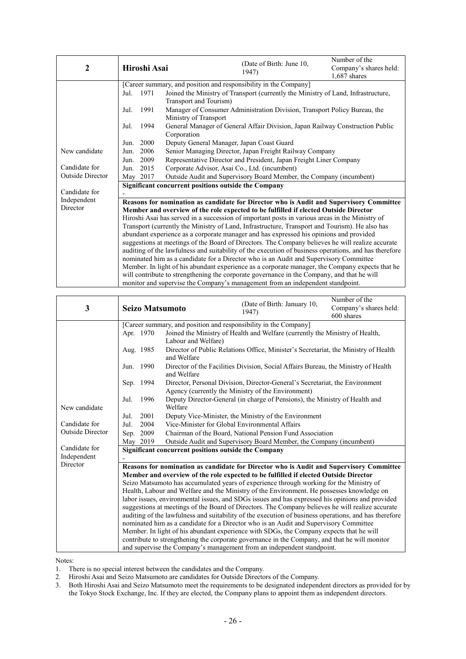| 2                | Hiroshi Asai                                                                   |                        | (Date of Birth: June 10,<br>1947)                                                                     | Number of the<br>Company's shares held:<br>1,687 shares |  |
|------------------|--------------------------------------------------------------------------------|------------------------|-------------------------------------------------------------------------------------------------------|---------------------------------------------------------|--|
|                  |                                                                                |                        | [Career summary, and position and responsibility in the Company]                                      |                                                         |  |
|                  | 1971<br>Jul.                                                                   |                        | Joined the Ministry of Transport (currently the Ministry of Land, Infrastructure,                     |                                                         |  |
|                  |                                                                                | Transport and Tourism) |                                                                                                       |                                                         |  |
|                  | 1991<br>Jul.                                                                   |                        | Manager of Consumer Administration Division, Transport Policy Bureau, the                             |                                                         |  |
|                  | Ministry of Transport                                                          |                        |                                                                                                       |                                                         |  |
|                  | Jul.<br>1994                                                                   |                        | General Manager of General Affair Division, Japan Railway Construction Public                         |                                                         |  |
|                  |                                                                                | Corporation            |                                                                                                       |                                                         |  |
|                  | 2000<br>Jun.                                                                   |                        | Deputy General Manager, Japan Coast Guard                                                             |                                                         |  |
| New candidate    | 2006<br>Senior Managing Director, Japan Freight Railway Company<br>Jun.        |                        |                                                                                                       |                                                         |  |
|                  | 2009<br>Jun.                                                                   |                        | Representative Director and President, Japan Freight Liner Company                                    |                                                         |  |
| Candidate for    | 2015<br>Jun.                                                                   |                        | Corporate Advisor, Asai Co., Ltd. (incumbent)                                                         |                                                         |  |
| Outside Director | May 2017                                                                       |                        | Outside Audit and Supervisory Board Member, the Company (incumbent)                                   |                                                         |  |
|                  | Significant concurrent positions outside the Company                           |                        |                                                                                                       |                                                         |  |
| Candidate for    |                                                                                |                        |                                                                                                       |                                                         |  |
| Independent      |                                                                                |                        | Reasons for nomination as candidate for Director who is Audit and Supervisory Committee               |                                                         |  |
| Director         |                                                                                |                        | Member and overview of the role expected to be fulfilled if elected Outside Director                  |                                                         |  |
|                  |                                                                                |                        | Hiroshi Asai has served in a succession of important posts in various areas in the Ministry of        |                                                         |  |
|                  |                                                                                |                        | Transport (currently the Ministry of Land, Infrastructure, Transport and Tourism). He also has        |                                                         |  |
|                  |                                                                                |                        | abundant experience as a corporate manager and has expressed his opinions and provided                |                                                         |  |
|                  |                                                                                |                        | suggestions at meetings of the Board of Directors. The Company believes he will realize accurate      |                                                         |  |
|                  |                                                                                |                        | auditing of the lawfulness and suitability of the execution of business operations, and has therefore |                                                         |  |
|                  |                                                                                |                        | nominated him as a candidate for a Director who is an Audit and Supervisory Committee                 |                                                         |  |
|                  |                                                                                |                        | Member. In light of his abundant experience as a corporate manager, the Company expects that he       |                                                         |  |
|                  |                                                                                |                        | will contribute to strengthening the corporate governance in the Company, and that he will            |                                                         |  |
|                  | monitor and supervise the Company's management from an independent standpoint. |                        |                                                                                                       |                                                         |  |

| 3                        | <b>Seizo Matsumoto</b>                                                                           |                                                                             | (Date of Birth: January 10,<br>1947)                                                                                                                                                                                                                                                                                                                                                                                                                                                                                                                                                                                                                                 | Number of the<br>Company's shares held:<br>600 shares |  |
|--------------------------|--------------------------------------------------------------------------------------------------|-----------------------------------------------------------------------------|----------------------------------------------------------------------------------------------------------------------------------------------------------------------------------------------------------------------------------------------------------------------------------------------------------------------------------------------------------------------------------------------------------------------------------------------------------------------------------------------------------------------------------------------------------------------------------------------------------------------------------------------------------------------|-------------------------------------------------------|--|
|                          |                                                                                                  |                                                                             | [Career summary, and position and responsibility in the Company]                                                                                                                                                                                                                                                                                                                                                                                                                                                                                                                                                                                                     |                                                       |  |
|                          | Apr. 1970                                                                                        |                                                                             | Joined the Ministry of Health and Welfare (currently the Ministry of Health,                                                                                                                                                                                                                                                                                                                                                                                                                                                                                                                                                                                         |                                                       |  |
|                          |                                                                                                  | Labour and Welfare)                                                         |                                                                                                                                                                                                                                                                                                                                                                                                                                                                                                                                                                                                                                                                      |                                                       |  |
|                          | Aug. 1985                                                                                        | and Welfare                                                                 | Director of Public Relations Office, Minister's Secretariat, the Ministry of Health                                                                                                                                                                                                                                                                                                                                                                                                                                                                                                                                                                                  |                                                       |  |
|                          | Jun. 1990                                                                                        | and Welfare                                                                 | Director of the Facilities Division, Social Affairs Bureau, the Ministry of Health                                                                                                                                                                                                                                                                                                                                                                                                                                                                                                                                                                                   |                                                       |  |
|                          | Sep. 1994                                                                                        |                                                                             | Director, Personal Division, Director-General's Secretariat, the Environment                                                                                                                                                                                                                                                                                                                                                                                                                                                                                                                                                                                         |                                                       |  |
|                          |                                                                                                  |                                                                             | Agency (currently the Ministry of the Environment)                                                                                                                                                                                                                                                                                                                                                                                                                                                                                                                                                                                                                   |                                                       |  |
|                          | 1996<br>Jul.                                                                                     | Deputy Director-General (in charge of Pensions), the Ministry of Health and |                                                                                                                                                                                                                                                                                                                                                                                                                                                                                                                                                                                                                                                                      |                                                       |  |
| Welfare<br>New candidate |                                                                                                  |                                                                             |                                                                                                                                                                                                                                                                                                                                                                                                                                                                                                                                                                                                                                                                      |                                                       |  |
|                          | 2001<br>Jul.                                                                                     |                                                                             | Deputy Vice-Minister, the Ministry of the Environment                                                                                                                                                                                                                                                                                                                                                                                                                                                                                                                                                                                                                |                                                       |  |
| Candidate for            | 2004<br>Vice-Minister for Global Environmental Affairs<br>Jul.                                   |                                                                             |                                                                                                                                                                                                                                                                                                                                                                                                                                                                                                                                                                                                                                                                      |                                                       |  |
| Outside Director         | Chairman of the Board, National Pension Fund Association<br>Sep. 2009                            |                                                                             |                                                                                                                                                                                                                                                                                                                                                                                                                                                                                                                                                                                                                                                                      |                                                       |  |
|                          | May 2019<br>Outside Audit and Supervisory Board Member, the Company (incumbent)                  |                                                                             |                                                                                                                                                                                                                                                                                                                                                                                                                                                                                                                                                                                                                                                                      |                                                       |  |
| Candidate for            | Significant concurrent positions outside the Company                                             |                                                                             |                                                                                                                                                                                                                                                                                                                                                                                                                                                                                                                                                                                                                                                                      |                                                       |  |
| Independent<br>Director  |                                                                                                  |                                                                             |                                                                                                                                                                                                                                                                                                                                                                                                                                                                                                                                                                                                                                                                      |                                                       |  |
|                          | Reasons for nomination as candidate for Director who is Audit and Supervisory Committee          |                                                                             |                                                                                                                                                                                                                                                                                                                                                                                                                                                                                                                                                                                                                                                                      |                                                       |  |
|                          | Member and overview of the role expected to be fulfilled if elected Outside Director             |                                                                             |                                                                                                                                                                                                                                                                                                                                                                                                                                                                                                                                                                                                                                                                      |                                                       |  |
|                          |                                                                                                  |                                                                             | Seizo Matsumoto has accumulated years of experience through working for the Ministry of                                                                                                                                                                                                                                                                                                                                                                                                                                                                                                                                                                              |                                                       |  |
|                          |                                                                                                  |                                                                             |                                                                                                                                                                                                                                                                                                                                                                                                                                                                                                                                                                                                                                                                      |                                                       |  |
|                          |                                                                                                  |                                                                             |                                                                                                                                                                                                                                                                                                                                                                                                                                                                                                                                                                                                                                                                      |                                                       |  |
|                          | suggestions at meetings of the Board of Directors. The Company believes he will realize accurate |                                                                             |                                                                                                                                                                                                                                                                                                                                                                                                                                                                                                                                                                                                                                                                      |                                                       |  |
|                          |                                                                                                  |                                                                             |                                                                                                                                                                                                                                                                                                                                                                                                                                                                                                                                                                                                                                                                      |                                                       |  |
|                          |                                                                                                  |                                                                             |                                                                                                                                                                                                                                                                                                                                                                                                                                                                                                                                                                                                                                                                      |                                                       |  |
|                          |                                                                                                  |                                                                             |                                                                                                                                                                                                                                                                                                                                                                                                                                                                                                                                                                                                                                                                      |                                                       |  |
|                          |                                                                                                  |                                                                             |                                                                                                                                                                                                                                                                                                                                                                                                                                                                                                                                                                                                                                                                      |                                                       |  |
|                          |                                                                                                  |                                                                             | Health, Labour and Welfare and the Ministry of the Environment. He possesses knowledge on<br>labor issues, environmental issues, and SDGs issues and has expressed his opinions and provided<br>auditing of the lawfulness and suitability of the execution of business operations, and has therefore<br>nominated him as a candidate for a Director who is an Audit and Supervisory Committee<br>Member. In light of his abundant experience with SDGs, the Company expects that he will<br>contribute to strengthening the corporate governance in the Company, and that he will monitor<br>and supervise the Company's management from an independent standpoint. |                                                       |  |

Notes:

1. There is no special interest between the candidates and the Company.

2. Hiroshi Asai and Seizo Matsumoto are candidates for Outside Directors of the Company.<br>3. Both Hiroshi Asai and Seizo Matsumoto meet the requirements to be designated independent

3. Both Hiroshi Asai and Seizo Matsumoto meet the requirements to be designated independent directors as provided for by the Tokyo Stock Exchange, Inc. If they are elected, the Company plans to appoint them as independent directors.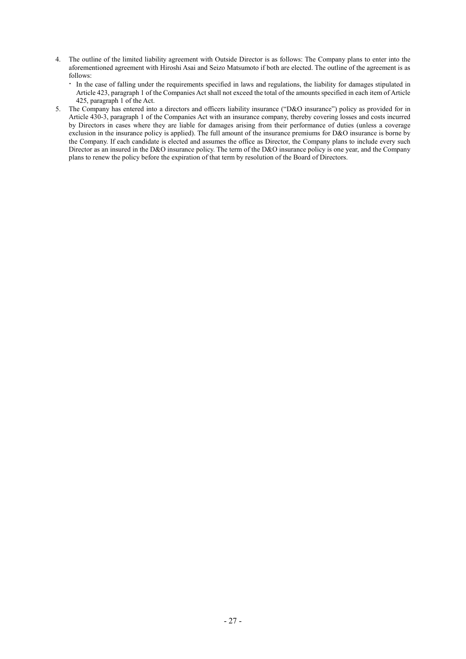- 4. The outline of the limited liability agreement with Outside Director is as follows: The Company plans to enter into the aforementioned agreement with Hiroshi Asai and Seizo Matsumoto if both are elected. The outline of the agreement is as follows:
	- In the case of falling under the requirements specified in laws and regulations, the liability for damages stipulated in Article 423, paragraph 1 of the Companies Act shall not exceed the total of the amounts specified in each item of Article 425, paragraph 1 of the Act.
- 5. The Company has entered into a directors and officers liability insurance ("D&O insurance") policy as provided for in Article 430-3, paragraph 1 of the Companies Act with an insurance company, thereby covering losses and costs incurred by Directors in cases where they are liable for damages arising from their performance of duties (unless a coverage exclusion in the insurance policy is applied). The full amount of the insurance premiums for D&O insurance is borne by the Company. If each candidate is elected and assumes the office as Director, the Company plans to include every such Director as an insured in the D&O insurance policy. The term of the D&O insurance policy is one year, and the Company plans to renew the policy before the expiration of that term by resolution of the Board of Directors.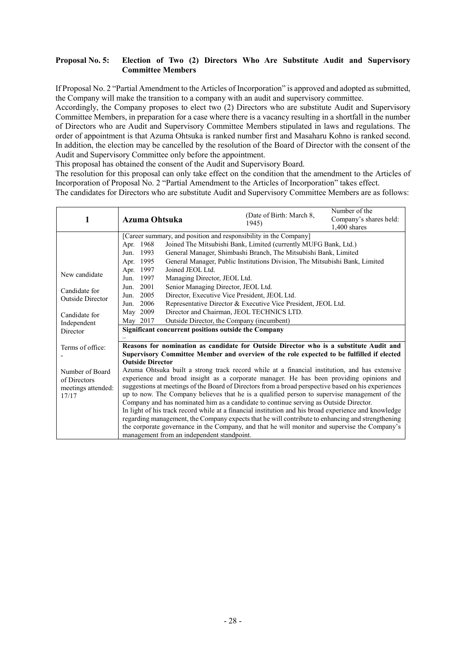### **Proposal No. 5: Election of Two (2) Directors Who Are Substitute Audit and Supervisory Committee Members**

If Proposal No. 2 "Partial Amendment to the Articles of Incorporation" is approved and adopted as submitted, the Company will make the transition to a company with an audit and supervisory committee.

Accordingly, the Company proposes to elect two (2) Directors who are substitute Audit and Supervisory Committee Members, in preparation for a case where there is a vacancy resulting in a shortfall in the number of Directors who are Audit and Supervisory Committee Members stipulated in laws and regulations. The order of appointment is that Azuma Ohtsuka is ranked number first and Masaharu Kohno is ranked second. In addition, the election may be cancelled by the resolution of the Board of Director with the consent of the Audit and Supervisory Committee only before the appointment.

This proposal has obtained the consent of the Audit and Supervisory Board.

The resolution for this proposal can only take effect on the condition that the amendment to the Articles of Incorporation of Proposal No. 2 "Partial Amendment to the Articles of Incorporation" takes effect.

The candidates for Directors who are substitute Audit and Supervisory Committee Members are as follows:

| 1                                                                                  | Azuma Ohtsuka                                                                                                                                                         | (Date of Birth: March 8,<br>1945)                                                                                                                                                                                                                                                                                                                                                                                                                                                                                                                                                                                                                                                                                                                                                                                                                                                                                                                                                            | Number of the<br>Company's shares held:<br>1,400 shares |
|------------------------------------------------------------------------------------|-----------------------------------------------------------------------------------------------------------------------------------------------------------------------|----------------------------------------------------------------------------------------------------------------------------------------------------------------------------------------------------------------------------------------------------------------------------------------------------------------------------------------------------------------------------------------------------------------------------------------------------------------------------------------------------------------------------------------------------------------------------------------------------------------------------------------------------------------------------------------------------------------------------------------------------------------------------------------------------------------------------------------------------------------------------------------------------------------------------------------------------------------------------------------------|---------------------------------------------------------|
| New candidate<br>Candidate for<br><b>Outside Director</b><br>Candidate for         | Apr. 1968<br>1993<br>Jun.<br>1995<br>Apr.<br>1997<br>Joined JEOL Ltd.<br>Apr.<br>1997<br>Jun.<br>2001<br>Jun.<br>2005<br>Jun.<br>2006<br>Jun.<br>May 2009<br>May 2017 | [Career summary, and position and responsibility in the Company]<br>Joined The Mitsubishi Bank, Limited (currently MUFG Bank, Ltd.)<br>General Manager, Shimbashi Branch, The Mitsubishi Bank, Limited<br>General Manager, Public Institutions Division, The Mitsubishi Bank, Limited<br>Managing Director, JEOL Ltd.<br>Senior Managing Director, JEOL Ltd.<br>Director, Executive Vice President, JEOL Ltd.<br>Representative Director & Executive Vice President, JEOL Ltd.<br>Director and Chairman, JEOL TECHNICS LTD.<br>Outside Director, the Company (incumbent)                                                                                                                                                                                                                                                                                                                                                                                                                     |                                                         |
| Independent<br>Director                                                            |                                                                                                                                                                       | Significant concurrent positions outside the Company                                                                                                                                                                                                                                                                                                                                                                                                                                                                                                                                                                                                                                                                                                                                                                                                                                                                                                                                         |                                                         |
| Terms of office:<br>Number of Board<br>of Directors<br>meetings attended:<br>17/17 | <b>Outside Director</b><br>management from an independent standpoint.                                                                                                 | Reasons for nomination as candidate for Outside Director who is a substitute Audit and<br>Supervisory Committee Member and overview of the role expected to be fulfilled if elected<br>Azuma Ohtsuka built a strong track record while at a financial institution, and has extensive<br>experience and broad insight as a corporate manager. He has been providing opinions and<br>suggestions at meetings of the Board of Directors from a broad perspective based on his experiences<br>up to now. The Company believes that he is a qualified person to supervise management of the<br>Company and has nominated him as a candidate to continue serving as Outside Director.<br>In light of his track record while at a financial institution and his broad experience and knowledge<br>regarding management, the Company expects that he will contribute to enhancing and strengthening<br>the corporate governance in the Company, and that he will monitor and supervise the Company's |                                                         |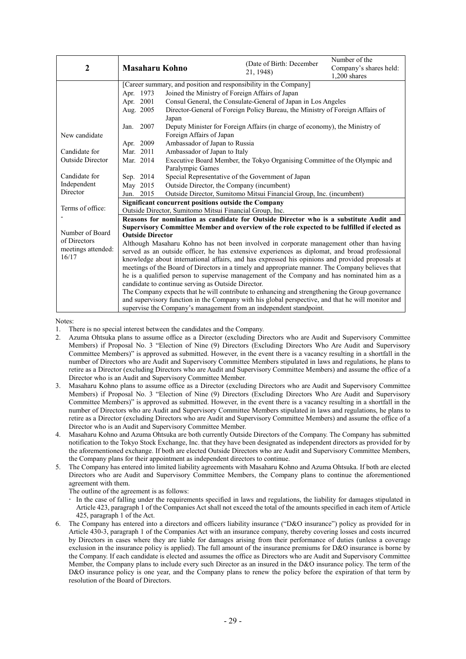|                         |                                                                                                   |                                                                                                 | (Date of Birth: December                                                  | Number of the          |  |  |  |  |
|-------------------------|---------------------------------------------------------------------------------------------------|-------------------------------------------------------------------------------------------------|---------------------------------------------------------------------------|------------------------|--|--|--|--|
| $\mathbf{2}$            | <b>Masaharu Kohno</b>                                                                             |                                                                                                 | 21, 1948)                                                                 | Company's shares held: |  |  |  |  |
|                         |                                                                                                   |                                                                                                 |                                                                           | $1,200$ shares         |  |  |  |  |
|                         | [Career summary, and position and responsibility in the Company]                                  |                                                                                                 |                                                                           |                        |  |  |  |  |
|                         | Apr. 1973                                                                                         | Joined the Ministry of Foreign Affairs of Japan                                                 |                                                                           |                        |  |  |  |  |
|                         | Apr. 2001                                                                                         |                                                                                                 | Consul General, the Consulate-General of Japan in Los Angeles             |                        |  |  |  |  |
|                         | Aug. 2005                                                                                         | Director-General of Foreign Policy Bureau, the Ministry of Foreign Affairs of<br>Japan          |                                                                           |                        |  |  |  |  |
|                         | Jan. 2007                                                                                         | Deputy Minister for Foreign Affairs (in charge of economy), the Ministry of                     |                                                                           |                        |  |  |  |  |
| New candidate           | Foreign Affairs of Japan                                                                          |                                                                                                 |                                                                           |                        |  |  |  |  |
|                         | Apr. 2009<br>Ambassador of Japan to Russia                                                        |                                                                                                 |                                                                           |                        |  |  |  |  |
| Candidate for           | Mar. 2011                                                                                         | Ambassador of Japan to Italy                                                                    |                                                                           |                        |  |  |  |  |
| <b>Outside Director</b> | Mar. 2014                                                                                         |                                                                                                 | Executive Board Member, the Tokyo Organising Committee of the Olympic and |                        |  |  |  |  |
|                         |                                                                                                   | Paralympic Games                                                                                |                                                                           |                        |  |  |  |  |
| Candidate for           | Sep. 2014                                                                                         | Special Representative of the Government of Japan                                               |                                                                           |                        |  |  |  |  |
| Independent             | May 2015                                                                                          | Outside Director, the Company (incumbent)                                                       |                                                                           |                        |  |  |  |  |
| Director                | Jun. 2015                                                                                         | Outside Director, Sumitomo Mitsui Financial Group, Inc. (incumbent)                             |                                                                           |                        |  |  |  |  |
|                         | Significant concurrent positions outside the Company                                              |                                                                                                 |                                                                           |                        |  |  |  |  |
| Terms of office:        | Outside Director, Sumitomo Mitsui Financial Group, Inc.                                           |                                                                                                 |                                                                           |                        |  |  |  |  |
|                         | Reasons for nomination as candidate for Outside Director who is a substitute Audit and            |                                                                                                 |                                                                           |                        |  |  |  |  |
|                         | Supervisory Committee Member and overview of the role expected to be fulfilled if elected as      |                                                                                                 |                                                                           |                        |  |  |  |  |
| Number of Board         | <b>Outside Director</b>                                                                           |                                                                                                 |                                                                           |                        |  |  |  |  |
| of Directors            | Although Masaharu Kohno has not been involved in corporate management other than having           |                                                                                                 |                                                                           |                        |  |  |  |  |
| meetings attended:      | served as an outside officer, he has extensive experiences as diplomat, and broad professional    |                                                                                                 |                                                                           |                        |  |  |  |  |
| 16/17                   |                                                                                                   | knowledge about international affairs, and has expressed his opinions and provided proposals at |                                                                           |                        |  |  |  |  |
|                         | meetings of the Board of Directors in a timely and appropriate manner. The Company believes that  |                                                                                                 |                                                                           |                        |  |  |  |  |
|                         | he is a qualified person to supervise management of the Company and has nominated him as a        |                                                                                                 |                                                                           |                        |  |  |  |  |
|                         | candidate to continue serving as Outside Director.                                                |                                                                                                 |                                                                           |                        |  |  |  |  |
|                         | The Company expects that he will contribute to enhancing and strengthening the Group governance   |                                                                                                 |                                                                           |                        |  |  |  |  |
|                         | and supervisory function in the Company with his global perspective, and that he will monitor and |                                                                                                 |                                                                           |                        |  |  |  |  |
|                         | supervise the Company's management from an independent standpoint.                                |                                                                                                 |                                                                           |                        |  |  |  |  |

Notes:

1. There is no special interest between the candidates and the Company.

- 2. Azuma Ohtsuka plans to assume office as a Director (excluding Directors who are Audit and Supervisory Committee Members) if Proposal No. 3 "Election of Nine (9) Directors (Excluding Directors Who Are Audit and Supervisory Committee Members)" is approved as submitted. However, in the event there is a vacancy resulting in a shortfall in the number of Directors who are Audit and Supervisory Committee Members stipulated in laws and regulations, he plans to retire as a Director (excluding Directors who are Audit and Supervisory Committee Members) and assume the office of a Director who is an Audit and Supervisory Committee Member.
- 3. Masaharu Kohno plans to assume office as a Director (excluding Directors who are Audit and Supervisory Committee Members) if Proposal No. 3 "Election of Nine (9) Directors (Excluding Directors Who Are Audit and Supervisory Committee Members)" is approved as submitted. However, in the event there is a vacancy resulting in a shortfall in the number of Directors who are Audit and Supervisory Committee Members stipulated in laws and regulations, he plans to retire as a Director (excluding Directors who are Audit and Supervisory Committee Members) and assume the office of a Director who is an Audit and Supervisory Committee Member.
- 4. Masaharu Kohno and Azuma Ohtsuka are both currently Outside Directors of the Company. The Company has submitted notification to the Tokyo Stock Exchange, Inc. that they have been designated as independent directors as provided for by the aforementioned exchange. If both are elected Outside Directors who are Audit and Supervisory Committee Members, the Company plans for their appointment as independent directors to continue.
- 5. The Company has entered into limited liability agreements with Masaharu Kohno and Azuma Ohtsuka. If both are elected Directors who are Audit and Supervisory Committee Members, the Company plans to continue the aforementioned agreement with them.

The outline of the agreement is as follows:

- In the case of falling under the requirements specified in laws and regulations, the liability for damages stipulated in Article 423, paragraph 1 of the Companies Act shall not exceed the total of the amounts specified in each item of Article 425, paragraph 1 of the Act.
- 6. The Company has entered into a directors and officers liability insurance ("D&O insurance") policy as provided for in Article 430-3, paragraph 1 of the Companies Act with an insurance company, thereby covering losses and costs incurred by Directors in cases where they are liable for damages arising from their performance of duties (unless a coverage exclusion in the insurance policy is applied). The full amount of the insurance premiums for D&O insurance is borne by the Company. If each candidate is elected and assumes the office as Directors who are Audit and Supervisory Committee Member, the Company plans to include every such Director as an insured in the D&O insurance policy. The term of the D&O insurance policy is one year, and the Company plans to renew the policy before the expiration of that term by resolution of the Board of Directors.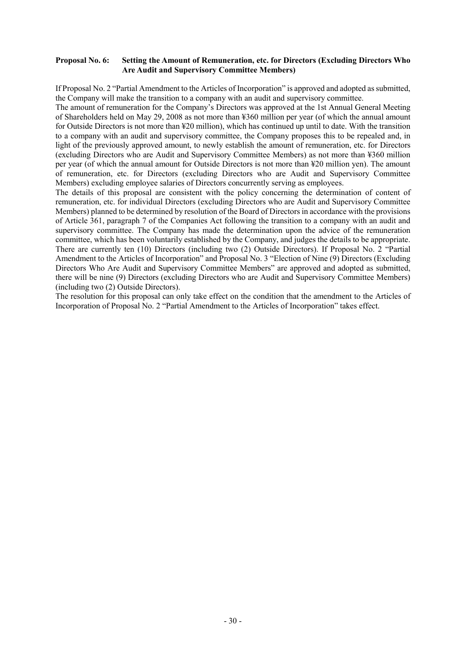### **Proposal No. 6: Setting the Amount of Remuneration, etc. for Directors (Excluding Directors Who Are Audit and Supervisory Committee Members)**

If Proposal No. 2 "Partial Amendment to the Articles of Incorporation" is approved and adopted as submitted, the Company will make the transition to a company with an audit and supervisory committee.

The amount of remuneration for the Company's Directors was approved at the 1st Annual General Meeting of Shareholders held on May 29, 2008 as not more than ¥360 million per year (of which the annual amount for Outside Directors is not more than ¥20 million), which has continued up until to date. With the transition to a company with an audit and supervisory committee, the Company proposes this to be repealed and, in light of the previously approved amount, to newly establish the amount of remuneration, etc. for Directors (excluding Directors who are Audit and Supervisory Committee Members) as not more than ¥360 million per year (of which the annual amount for Outside Directors is not more than ¥20 million yen). The amount of remuneration, etc. for Directors (excluding Directors who are Audit and Supervisory Committee Members) excluding employee salaries of Directors concurrently serving as employees.

The details of this proposal are consistent with the policy concerning the determination of content of remuneration, etc. for individual Directors (excluding Directors who are Audit and Supervisory Committee Members) planned to be determined by resolution of the Board of Directors in accordance with the provisions of Article 361, paragraph 7 of the Companies Act following the transition to a company with an audit and supervisory committee. The Company has made the determination upon the advice of the remuneration committee, which has been voluntarily established by the Company, and judges the details to be appropriate. There are currently ten (10) Directors (including two (2) Outside Directors). If Proposal No. 2 "Partial Amendment to the Articles of Incorporation" and Proposal No. 3 "Election of Nine (9) Directors (Excluding Directors Who Are Audit and Supervisory Committee Members" are approved and adopted as submitted, there will be nine (9) Directors (excluding Directors who are Audit and Supervisory Committee Members) (including two (2) Outside Directors).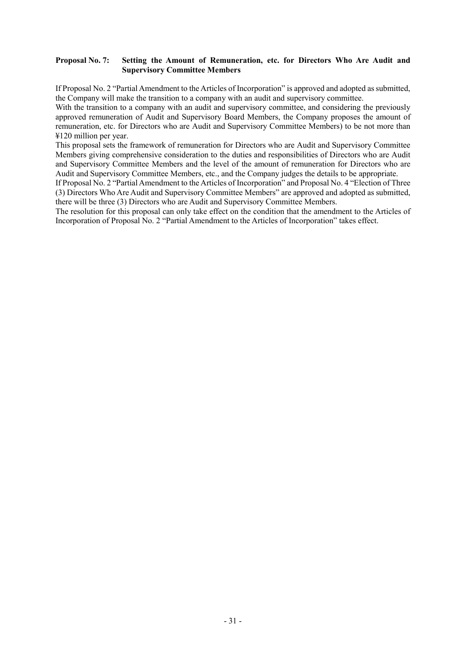### **Proposal No. 7: Setting the Amount of Remuneration, etc. for Directors Who Are Audit and Supervisory Committee Members**

If Proposal No. 2 "Partial Amendment to the Articles of Incorporation" is approved and adopted as submitted, the Company will make the transition to a company with an audit and supervisory committee.

With the transition to a company with an audit and supervisory committee, and considering the previously approved remuneration of Audit and Supervisory Board Members, the Company proposes the amount of remuneration, etc. for Directors who are Audit and Supervisory Committee Members) to be not more than ¥120 million per year.

This proposal sets the framework of remuneration for Directors who are Audit and Supervisory Committee Members giving comprehensive consideration to the duties and responsibilities of Directors who are Audit and Supervisory Committee Members and the level of the amount of remuneration for Directors who are Audit and Supervisory Committee Members, etc., and the Company judges the details to be appropriate.

If Proposal No. 2 "Partial Amendment to the Articles of Incorporation" and Proposal No. 4 "Election of Three (3) Directors Who Are Audit and Supervisory Committee Members" are approved and adopted as submitted, there will be three (3) Directors who are Audit and Supervisory Committee Members.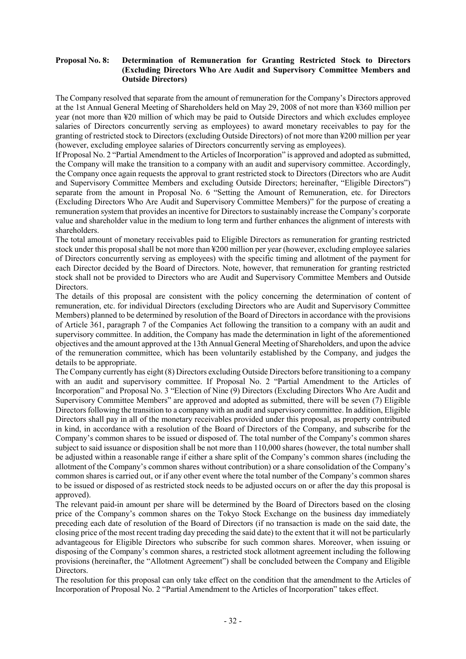### **Proposal No. 8: Determination of Remuneration for Granting Restricted Stock to Directors (Excluding Directors Who Are Audit and Supervisory Committee Members and Outside Directors)**

The Company resolved that separate from the amount of remuneration for the Company's Directors approved at the 1st Annual General Meeting of Shareholders held on May 29, 2008 of not more than ¥360 million per year (not more than ¥20 million of which may be paid to Outside Directors and which excludes employee salaries of Directors concurrently serving as employees) to award monetary receivables to pay for the granting of restricted stock to Directors (excluding Outside Directors) of not more than ¥200 million per year (however, excluding employee salaries of Directors concurrently serving as employees).

If Proposal No. 2 "Partial Amendment to the Articles of Incorporation" is approved and adopted as submitted, the Company will make the transition to a company with an audit and supervisory committee. Accordingly, the Company once again requests the approval to grant restricted stock to Directors (Directors who are Audit and Supervisory Committee Members and excluding Outside Directors; hereinafter, "Eligible Directors") separate from the amount in Proposal No. 6 "Setting the Amount of Remuneration, etc. for Directors (Excluding Directors Who Are Audit and Supervisory Committee Members)" for the purpose of creating a remuneration system that provides an incentive for Directors to sustainably increase the Company's corporate value and shareholder value in the medium to long term and further enhances the alignment of interests with shareholders.

The total amount of monetary receivables paid to Eligible Directors as remuneration for granting restricted stock under this proposal shall be not more than ¥200 million per year (however, excluding employee salaries of Directors concurrently serving as employees) with the specific timing and allotment of the payment for each Director decided by the Board of Directors. Note, however, that remuneration for granting restricted stock shall not be provided to Directors who are Audit and Supervisory Committee Members and Outside Directors.

The details of this proposal are consistent with the policy concerning the determination of content of remuneration, etc. for individual Directors (excluding Directors who are Audit and Supervisory Committee Members) planned to be determined by resolution of the Board of Directors in accordance with the provisions of Article 361, paragraph 7 of the Companies Act following the transition to a company with an audit and supervisory committee. In addition, the Company has made the determination in light of the aforementioned objectives and the amount approved at the 13th Annual General Meeting of Shareholders, and upon the advice of the remuneration committee, which has been voluntarily established by the Company, and judges the details to be appropriate.

The Company currently has eight (8) Directors excluding Outside Directors before transitioning to a company with an audit and supervisory committee. If Proposal No. 2 "Partial Amendment to the Articles of Incorporation" and Proposal No. 3 "Election of Nine (9) Directors (Excluding Directors Who Are Audit and Supervisory Committee Members" are approved and adopted as submitted, there will be seven (7) Eligible Directors following the transition to a company with an audit and supervisory committee. In addition, Eligible Directors shall pay in all of the monetary receivables provided under this proposal, as property contributed in kind, in accordance with a resolution of the Board of Directors of the Company, and subscribe for the Company's common shares to be issued or disposed of. The total number of the Company's common shares subject to said issuance or disposition shall be not more than 110,000 shares (however, the total number shall be adjusted within a reasonable range if either a share split of the Company's common shares (including the allotment of the Company's common shares without contribution) or a share consolidation of the Company's common shares is carried out, or if any other event where the total number of the Company's common shares to be issued or disposed of as restricted stock needs to be adjusted occurs on or after the day this proposal is approved).

The relevant paid-in amount per share will be determined by the Board of Directors based on the closing price of the Company's common shares on the Tokyo Stock Exchange on the business day immediately preceding each date of resolution of the Board of Directors (if no transaction is made on the said date, the closing price of the most recent trading day preceding the said date) to the extent that it will not be particularly advantageous for Eligible Directors who subscribe for such common shares. Moreover, when issuing or disposing of the Company's common shares, a restricted stock allotment agreement including the following provisions (hereinafter, the "Allotment Agreement") shall be concluded between the Company and Eligible Directors.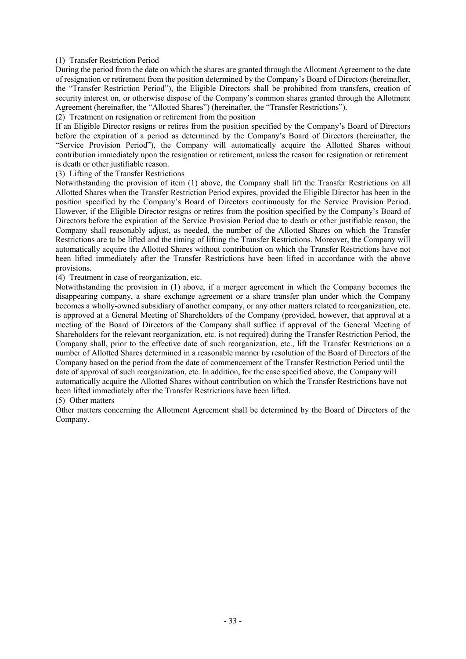### (1) Transfer Restriction Period

During the period from the date on which the shares are granted through the Allotment Agreement to the date of resignation or retirement from the position determined by the Company's Board of Directors (hereinafter, the "Transfer Restriction Period"), the Eligible Directors shall be prohibited from transfers, creation of security interest on, or otherwise dispose of the Company's common shares granted through the Allotment Agreement (hereinafter, the "Allotted Shares") (hereinafter, the "Transfer Restrictions").

(2) Treatment on resignation or retirement from the position

If an Eligible Director resigns or retires from the position specified by the Company's Board of Directors before the expiration of a period as determined by the Company's Board of Directors (hereinafter, the "Service Provision Period"), the Company will automatically acquire the Allotted Shares without contribution immediately upon the resignation or retirement, unless the reason for resignation or retirement is death or other justifiable reason.

(3) Lifting of the Transfer Restrictions

Notwithstanding the provision of item (1) above, the Company shall lift the Transfer Restrictions on all Allotted Shares when the Transfer Restriction Period expires, provided the Eligible Director has been in the position specified by the Company's Board of Directors continuously for the Service Provision Period. However, if the Eligible Director resigns or retires from the position specified by the Company's Board of Directors before the expiration of the Service Provision Period due to death or other justifiable reason, the Company shall reasonably adjust, as needed, the number of the Allotted Shares on which the Transfer Restrictions are to be lifted and the timing of lifting the Transfer Restrictions. Moreover, the Company will automatically acquire the Allotted Shares without contribution on which the Transfer Restrictions have not been lifted immediately after the Transfer Restrictions have been lifted in accordance with the above provisions.

(4) Treatment in case of reorganization, etc.

Notwithstanding the provision in (1) above, if a merger agreement in which the Company becomes the disappearing company, a share exchange agreement or a share transfer plan under which the Company becomes a wholly-owned subsidiary of another company, or any other matters related to reorganization, etc. is approved at a General Meeting of Shareholders of the Company (provided, however, that approval at a meeting of the Board of Directors of the Company shall suffice if approval of the General Meeting of Shareholders for the relevant reorganization, etc. is not required) during the Transfer Restriction Period, the Company shall, prior to the effective date of such reorganization, etc., lift the Transfer Restrictions on a number of Allotted Shares determined in a reasonable manner by resolution of the Board of Directors of the Company based on the period from the date of commencement of the Transfer Restriction Period until the date of approval of such reorganization, etc. In addition, for the case specified above, the Company will automatically acquire the Allotted Shares without contribution on which the Transfer Restrictions have not been lifted immediately after the Transfer Restrictions have been lifted.

(5) Other matters

Other matters concerning the Allotment Agreement shall be determined by the Board of Directors of the Company.